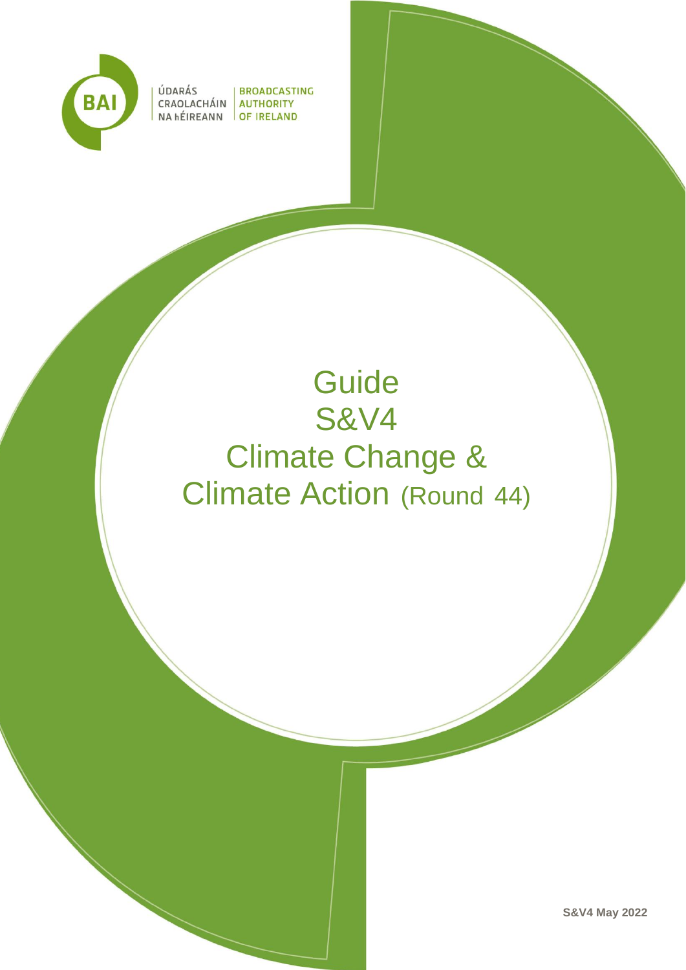

ÚDARÁS | BROADCASTING CRAOLACHÁIN **AUTHORITY** NA hÉIREANN **OF IRELAND** 

# **Guide** S&V4 Climate Change & Climate Action (Round 44)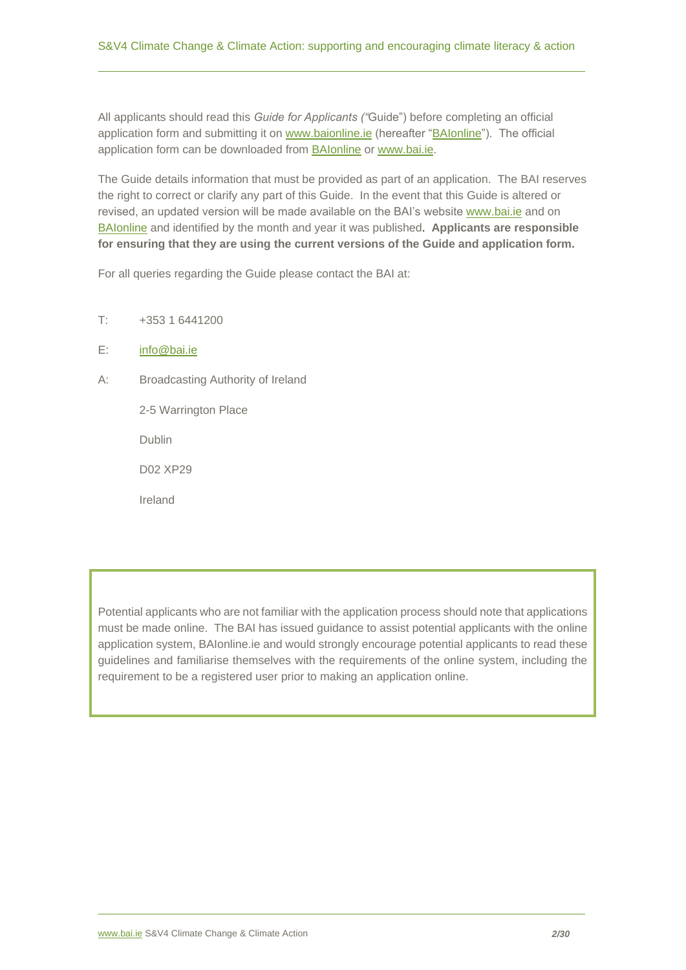All applicants should read this *Guide for Applicants ("*Guide") before completing an official application form and submitting it on [www.baionline.ie](http://www.baionline.ie/) (hereafter ["BAIonline"](http://www.baionline.ie/)). The official application form can be downloaded from **BAIonline or [www.bai.ie.](https://www.bai.ie/en/broadcasting/funding-development-3/sound-vision-4/)** 

The Guide details information that must be provided as part of an application. The BAI reserves the right to correct or clarify any part of this Guide. In the event that this Guide is altered or revised, an updated version will be made available on the BAI's websit[e www.bai.ie](https://www.bai.ie/en/broadcasting/funding-development-3/sound-vision-4/) and on [BAIonline](http://www.baionline.ie/) and identified by the month and year it was published. **Applicants are responsible for ensuring that they are using the current versions of the Guide and application form.**

For all queries regarding the Guide please contact the BAI at:

- T: +353 1 6441200
- E: [info@bai.ie](mailto:info@bai.ie)
- A: Broadcasting Authority of Ireland

2-5 Warrington Place

Dublin

D02 XP29

Ireland

Potential applicants who are not familiar with the application process should note that applications must be made online. The BAI has issued guidance to assist potential applicants with the online application system, BAIonline.ie and would strongly encourage potential applicants to read these guidelines and familiarise themselves with the requirements of the online system, including the requirement to be a registered user prior to making an application online.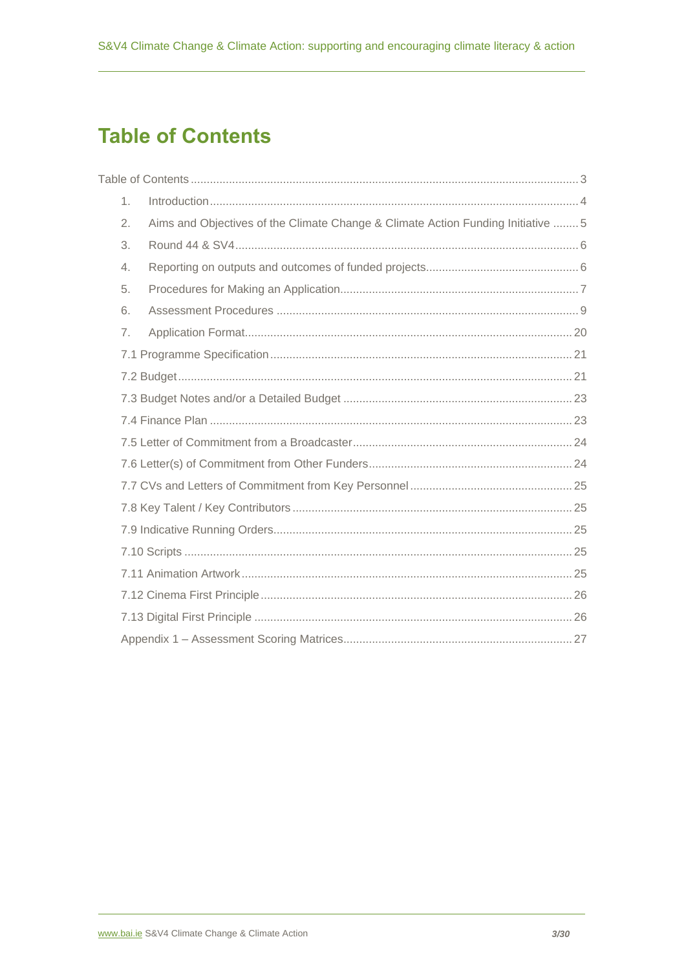# <span id="page-2-0"></span>**Table of Contents**

| 1. |                                                                                  |  |
|----|----------------------------------------------------------------------------------|--|
| 2. | Aims and Objectives of the Climate Change & Climate Action Funding Initiative  5 |  |
| 3. |                                                                                  |  |
| 4. |                                                                                  |  |
| 5. |                                                                                  |  |
| 6. |                                                                                  |  |
| 7. |                                                                                  |  |
|    |                                                                                  |  |
|    |                                                                                  |  |
|    |                                                                                  |  |
|    |                                                                                  |  |
|    |                                                                                  |  |
|    |                                                                                  |  |
|    |                                                                                  |  |
|    |                                                                                  |  |
|    |                                                                                  |  |
|    |                                                                                  |  |
|    |                                                                                  |  |
|    |                                                                                  |  |
|    |                                                                                  |  |
|    |                                                                                  |  |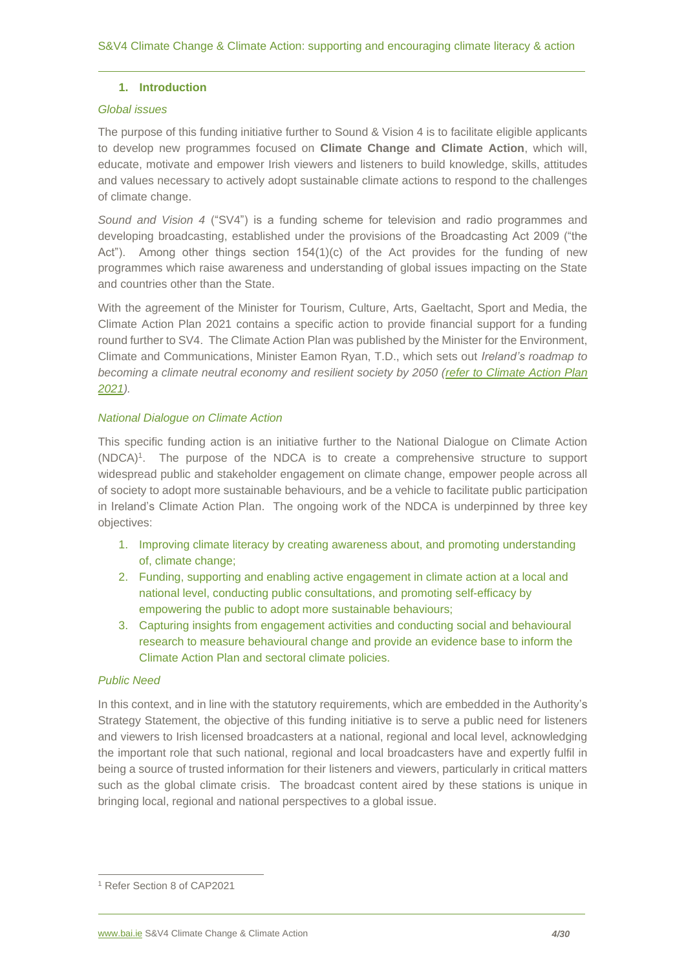# <span id="page-3-0"></span>**1. Introduction**

#### *Global issues*

The purpose of this funding initiative further to Sound & Vision 4 is to facilitate eligible applicants to develop new programmes focused on **Climate Change and Climate Action**, which will, educate, motivate and empower Irish viewers and listeners to build knowledge, skills, attitudes and values necessary to actively adopt sustainable climate actions to respond to the challenges of climate change.

*Sound and Vision 4* ("SV4") is a funding scheme for television and radio programmes and developing broadcasting, established under the provisions of the Broadcasting Act 2009 ("the Act"). Among other things section  $154(1)(c)$  of the Act provides for the funding of new programmes which raise awareness and understanding of global issues impacting on the State and countries other than the State.

With the agreement of the Minister for Tourism, Culture, Arts, Gaeltacht, Sport and Media, the Climate Action Plan 2021 contains a specific action to provide financial support for a funding round further to SV4. The Climate Action Plan was published by the Minister for the Environment, Climate and Communications, Minister Eamon Ryan, T.D., which sets out *Ireland's roadmap to becoming a climate neutral economy and resilient society by 2050 (refer to [Climate Action Plan](https://www.gov.ie/en/publication/6223e-climate-action-plan-2021/)  [2021\)](https://www.gov.ie/en/publication/6223e-climate-action-plan-2021/).* 

# *National Dialogue on Climate Action*

This specific funding action is an initiative further to the National Dialogue on Climate Action (NDCA)<sup>1</sup> . The purpose of the NDCA is to create a comprehensive structure to support widespread public and stakeholder engagement on climate change, empower people across all of society to adopt more sustainable behaviours, and be a vehicle to facilitate public participation in Ireland's Climate Action Plan. The ongoing work of the NDCA is underpinned by three key objectives:

- 1. Improving climate literacy by creating awareness about, and promoting understanding of, climate change;
- 2. Funding, supporting and enabling active engagement in climate action at a local and national level, conducting public consultations, and promoting self-efficacy by empowering the public to adopt more sustainable behaviours;
- 3. Capturing insights from engagement activities and conducting social and behavioural research to measure behavioural change and provide an evidence base to inform the Climate Action Plan and sectoral climate policies.

#### *Public Need*

In this context, and in line with the statutory requirements, which are embedded in the Authority's Strategy Statement, the objective of this funding initiative is to serve a public need for listeners and viewers to Irish licensed broadcasters at a national, regional and local level, acknowledging the important role that such national, regional and local broadcasters have and expertly fulfil in being a source of trusted information for their listeners and viewers, particularly in critical matters such as the global climate crisis. The broadcast content aired by these stations is unique in bringing local, regional and national perspectives to a global issue.

<sup>1</sup> Refer Section 8 of CAP2021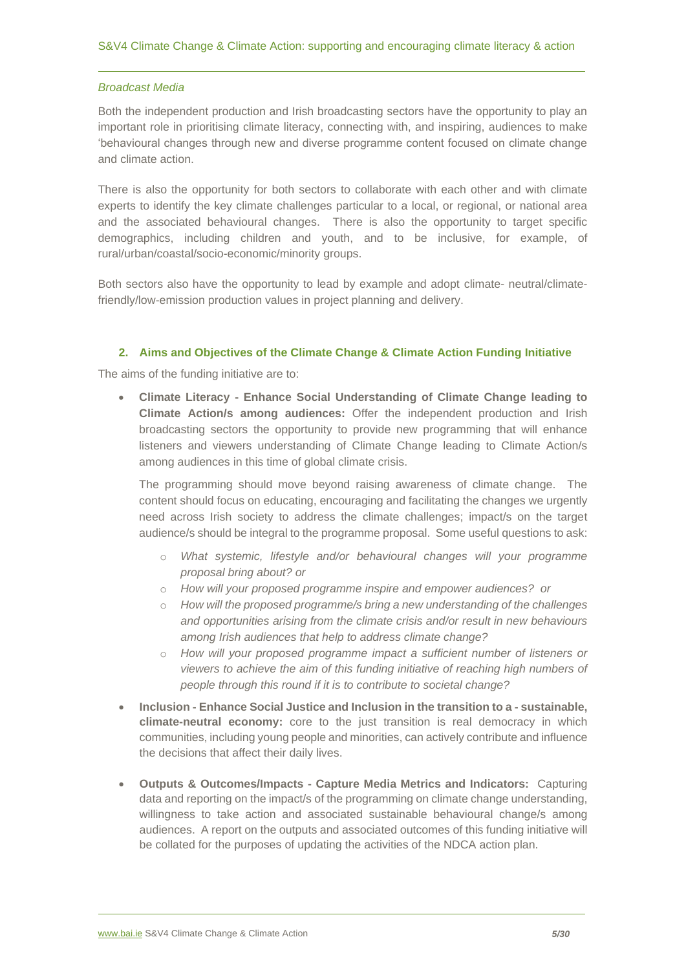#### *Broadcast Media*

Both the independent production and Irish broadcasting sectors have the opportunity to play an important role in prioritising climate literacy, connecting with, and inspiring, audiences to make 'behavioural changes through new and diverse programme content focused on climate change and climate action.

There is also the opportunity for both sectors to collaborate with each other and with climate experts to identify the key climate challenges particular to a local, or regional, or national area and the associated behavioural changes. There is also the opportunity to target specific demographics, including children and youth, and to be inclusive, for example, of rural/urban/coastal/socio-economic/minority groups.

Both sectors also have the opportunity to lead by example and adopt climate- neutral/climatefriendly/low-emission production values in project planning and delivery.

# **2. Aims and Objectives of the Climate Change & Climate Action Funding Initiative**

<span id="page-4-0"></span>The aims of the funding initiative are to:

• **Climate Literacy - Enhance Social Understanding of Climate Change leading to Climate Action/s among audiences:** Offer the independent production and Irish broadcasting sectors the opportunity to provide new programming that will enhance listeners and viewers understanding of Climate Change leading to Climate Action/s among audiences in this time of global climate crisis.

The programming should move beyond raising awareness of climate change. The content should focus on educating, encouraging and facilitating the changes we urgently need across Irish society to address the climate challenges; impact/s on the target audience/s should be integral to the programme proposal. Some useful questions to ask:

- o *What systemic, lifestyle and/or behavioural changes will your programme proposal bring about? or*
- o *How will your proposed programme inspire and empower audiences? or*
- o *How will the proposed programme/s bring a new understanding of the challenges and opportunities arising from the climate crisis and/or result in new behaviours among Irish audiences that help to address climate change?*
- o *How will your proposed programme impact a sufficient number of listeners or viewers to achieve the aim of this funding initiative of reaching high numbers of people through this round if it is to contribute to societal change?*
- **Inclusion - Enhance Social Justice and Inclusion in the transition to a - sustainable, climate-neutral economy:** core to the just transition is real democracy in which communities, including young people and minorities, can actively contribute and influence the decisions that affect their daily lives.
- **Outputs & Outcomes/Impacts - Capture Media Metrics and Indicators:** Capturing data and reporting on the impact/s of the programming on climate change understanding, willingness to take action and associated sustainable behavioural change/s among audiences. A report on the outputs and associated outcomes of this funding initiative will be collated for the purposes of updating the activities of the NDCA action plan.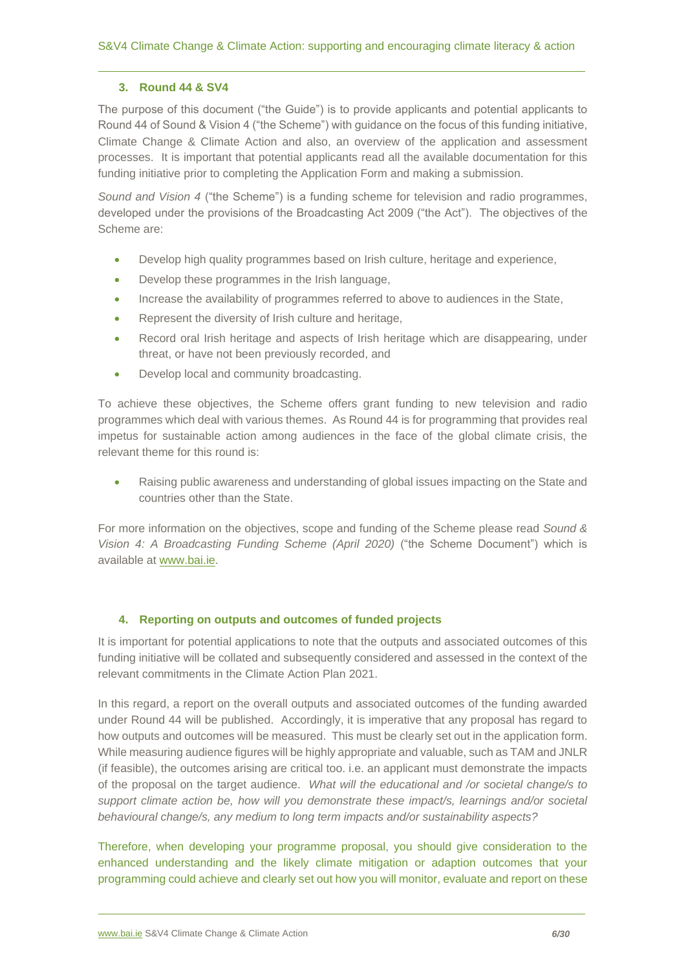# <span id="page-5-0"></span>**3. Round 44 & SV4**

The purpose of this document ("the Guide") is to provide applicants and potential applicants to Round 44 of Sound & Vision 4 ("the Scheme") with guidance on the focus of this funding initiative, Climate Change & Climate Action and also, an overview of the application and assessment processes. It is important that potential applicants read all the available documentation for this funding initiative prior to completing the Application Form and making a submission.

*Sound and Vision 4* ("the Scheme") is a funding scheme for television and radio programmes, developed under the provisions of the Broadcasting Act 2009 ("the Act"). The objectives of the Scheme are:

- Develop high quality programmes based on Irish culture, heritage and experience,
- Develop these programmes in the Irish language,
- Increase the availability of programmes referred to above to audiences in the State,
- Represent the diversity of Irish culture and heritage,
- Record oral Irish heritage and aspects of Irish heritage which are disappearing, under threat, or have not been previously recorded, and
- Develop local and community broadcasting.

To achieve these objectives, the Scheme offers grant funding to new television and radio programmes which deal with various themes. As Round 44 is for programming that provides real impetus for sustainable action among audiences in the face of the global climate crisis, the relevant theme for this round is:

• Raising public awareness and understanding of global issues impacting on the State and countries other than the State.

For more information on the objectives, scope and funding of the Scheme please read *Sound & Vision 4: A Broadcasting Funding Scheme (April 2020)* ("the Scheme Document") which is available at [www.bai.ie.](http://www.bai.ie/)

# <span id="page-5-1"></span>**4. Reporting on outputs and outcomes of funded projects**

It is important for potential applications to note that the outputs and associated outcomes of this funding initiative will be collated and subsequently considered and assessed in the context of the relevant commitments in the Climate Action Plan 2021.

In this regard, a report on the overall outputs and associated outcomes of the funding awarded under Round 44 will be published. Accordingly, it is imperative that any proposal has regard to how outputs and outcomes will be measured. This must be clearly set out in the application form. While measuring audience figures will be highly appropriate and valuable, such as TAM and JNLR (if feasible), the outcomes arising are critical too. i.e. an applicant must demonstrate the impacts of the proposal on the target audience. *What will the educational and /or societal change/s to support climate action be, how will you demonstrate these impact/s, learnings and/or societal behavioural change/s, any medium to long term impacts and/or sustainability aspects?*

Therefore, when developing your programme proposal, you should give consideration to the enhanced understanding and the likely climate mitigation or adaption outcomes that your programming could achieve and clearly set out how you will monitor, evaluate and report on these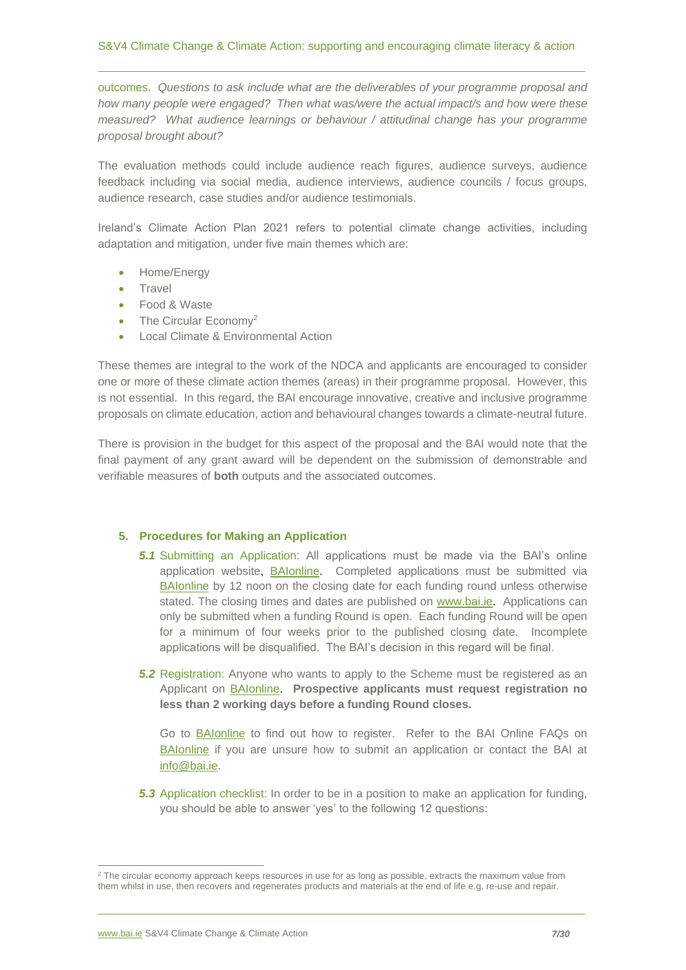outcomes. *Questions to ask include what are the deliverables of your programme proposal and how many people were engaged? Then what was/were the actual impact/s and how were these measured? What audience learnings or behaviour / attitudinal change has your programme proposal brought about?*

The evaluation methods could include audience reach figures, audience surveys, audience feedback including via social media, audience interviews, audience councils / focus groups, audience research, case studies and/or audience testimonials.

Ireland's Climate Action Plan 2021 refers to potential climate change activities, including adaptation and mitigation, under five main themes which are:

- Home/Energy
- Travel
- Food & Waste
- The Circular Economy<sup>2</sup>
- Local Climate & Environmental Action

These themes are integral to the work of the NDCA and applicants are encouraged to consider one or more of these climate action themes (areas) in their programme proposal. However, this is not essential. In this regard, the BAI encourage innovative, creative and inclusive programme proposals on climate education, action and behavioural changes towards a climate-neutral future.

There is provision in the budget for this aspect of the proposal and the BAI would note that the final payment of any grant award will be dependent on the submission of demonstrable and verifiable measures of **both** outputs and the associated outcomes.

#### <span id="page-6-0"></span>**5. Procedures for Making an Application**

- *5.1* Submitting an Application: All applications must be made via the BAI's online application website, [BAIonline.](http://baionline/) Completed applications must be submitted via [BAIonline](http://baionline/) by 12 noon on the closing date for each funding round unless otherwise stated. The closing times and dates are published on [www.bai.ie.](http://www.bai.ie/) Applications can only be submitted when a funding Round is open. Each funding Round will be open for a minimum of four weeks prior to the published closing date. Incomplete applications will be disqualified. The BAI's decision in this regard will be final.
- **5.2** Registration: Anyone who wants to apply to the Scheme must be registered as an Applicant on [BAIonline.](http://baionline/) **Prospective applicants must request registration no less than 2 working days before a funding Round closes.**

Go to [BAIonline](http://www.baionline.ie/) to find out how to register. Refer to the BAI Online FAQs on [BAIonline](http://www.baionline.ie/) if you are unsure how to submit an application or contact the BAI at [info@bai.ie.](mailto:info@bai.ie)

**5.3** Application checklist: In order to be in a position to make an application for funding, you should be able to answer 'yes' to the following 12 questions:

 $2$  The circular economy approach keeps resources in use for as long as possible, extracts the maximum value from them whilst in use, then recovers and regenerates products and materials at the end of life e.g. re-use and repair.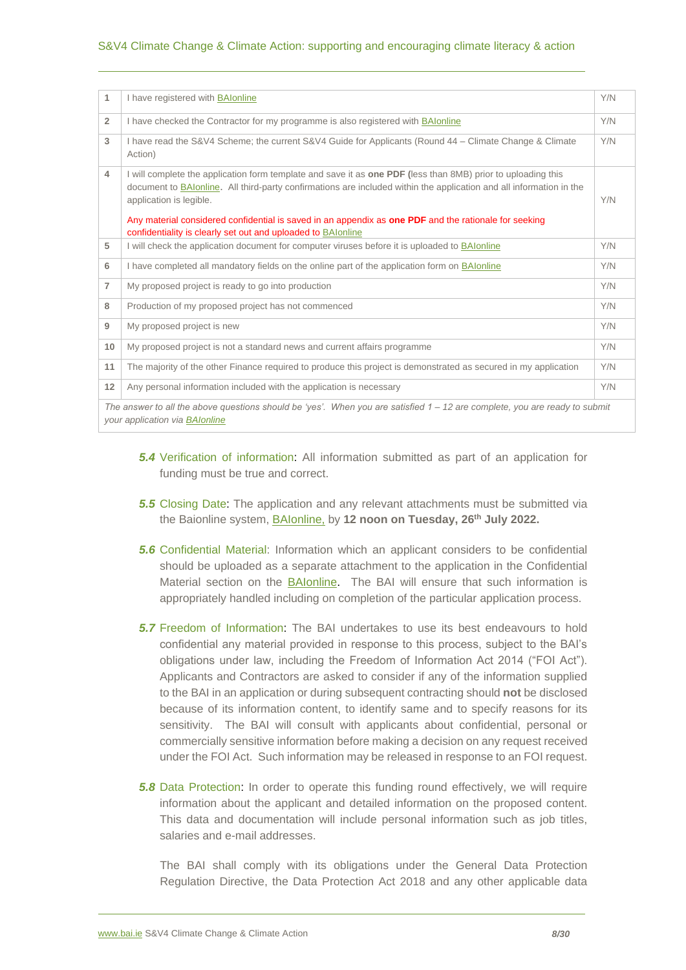#### S&V4 Climate Change & Climate Action: supporting and encouraging climate literacy & action

| 1              | I have registered with BAIonline                                                                                                                                                                                                                                                                                                                                                                                                        | Y/N |  |  |
|----------------|-----------------------------------------------------------------------------------------------------------------------------------------------------------------------------------------------------------------------------------------------------------------------------------------------------------------------------------------------------------------------------------------------------------------------------------------|-----|--|--|
| $\overline{2}$ | I have checked the Contractor for my programme is also registered with BAIonline                                                                                                                                                                                                                                                                                                                                                        | Y/N |  |  |
| 3              | I have read the S&V4 Scheme; the current S&V4 Guide for Applicants (Round 44 – Climate Change & Climate<br>Action)                                                                                                                                                                                                                                                                                                                      | Y/N |  |  |
| 4              | I will complete the application form template and save it as one PDF (less than 8MB) prior to uploading this<br>document to BAIonline. All third-party confirmations are included within the application and all information in the<br>application is legible.<br>Any material considered confidential is saved in an appendix as one PDF and the rationale for seeking<br>confidentiality is clearly set out and uploaded to BAIonline | Y/N |  |  |
| 5              | I will check the application document for computer viruses before it is uploaded to BAIonline                                                                                                                                                                                                                                                                                                                                           | Y/N |  |  |
| 6              | I have completed all mandatory fields on the online part of the application form on BAIonline                                                                                                                                                                                                                                                                                                                                           | Y/N |  |  |
| $\overline{7}$ | My proposed project is ready to go into production                                                                                                                                                                                                                                                                                                                                                                                      | Y/N |  |  |
| 8              | Production of my proposed project has not commenced                                                                                                                                                                                                                                                                                                                                                                                     | Y/N |  |  |
| 9              | My proposed project is new                                                                                                                                                                                                                                                                                                                                                                                                              | Y/N |  |  |
| 10             | My proposed project is not a standard news and current affairs programme                                                                                                                                                                                                                                                                                                                                                                | Y/N |  |  |
| 11             | The majority of the other Finance required to produce this project is demonstrated as secured in my application                                                                                                                                                                                                                                                                                                                         | Y/N |  |  |
| 12             | Any personal information included with the application is necessary                                                                                                                                                                                                                                                                                                                                                                     | Y/N |  |  |
|                | The answer to all the above questions should be 'yes'. When you are satisfied $1 - 12$ are complete, you are ready to submit<br>your application via <b>BAIonline</b>                                                                                                                                                                                                                                                                   |     |  |  |

- *5.4* Verification of information: All information submitted as part of an application for funding must be true and correct.
- *5.5* Closing Date: The application and any relevant attachments must be submitted via the Baionline system, [BAIonline,](http://baionline/) by **12 noon on Tuesday, 26th July 2022.**
- *5.6* Confidential Material: Information which an applicant considers to be confidential should be uploaded as a separate attachment to the application in the Confidential Material section on the [BAIonline.](http://baionline/) The BAI will ensure that such information is appropriately handled including on completion of the particular application process.
- *5.7* Freedom of Information: The BAI undertakes to use its best endeavours to hold confidential any material provided in response to this process, subject to the BAI's obligations under law, including the Freedom of Information Act 2014 ("FOI Act"). Applicants and Contractors are asked to consider if any of the information supplied to the BAI in an application or during subsequent contracting should **not** be disclosed because of its information content, to identify same and to specify reasons for its sensitivity. The BAI will consult with applicants about confidential, personal or commercially sensitive information before making a decision on any request received under the FOI Act. Such information may be released in response to an FOI request.
- **5.8** Data Protection: In order to operate this funding round effectively, we will require information about the applicant and detailed information on the proposed content. This data and documentation will include personal information such as job titles, salaries and e-mail addresses.

The BAI shall comply with its obligations under the General Data Protection Regulation Directive, the Data Protection Act 2018 and any other applicable data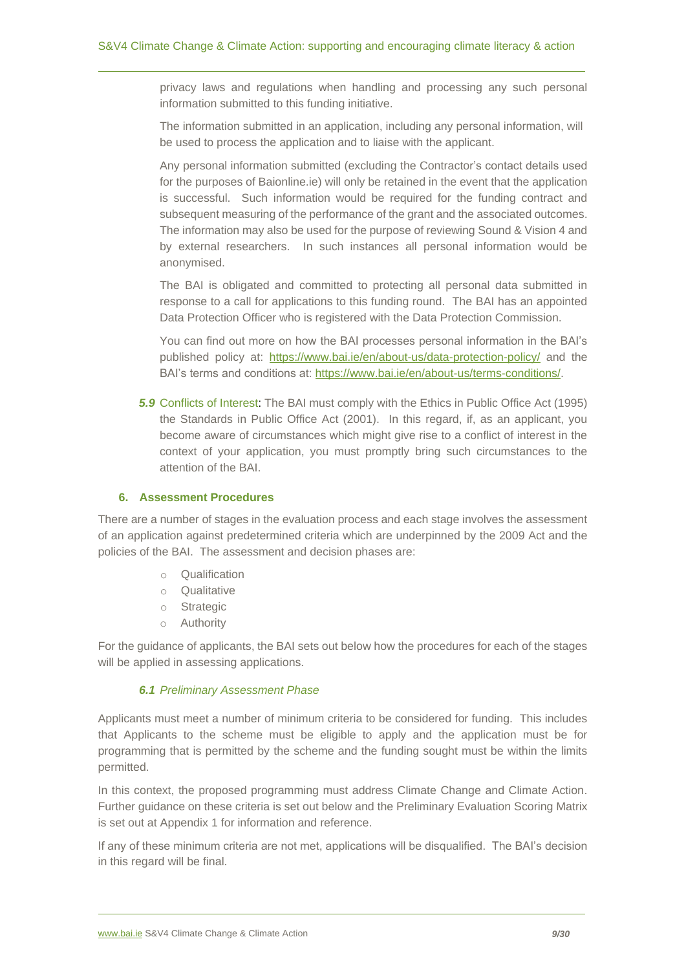privacy laws and regulations when handling and processing any such personal information submitted to this funding initiative.

The information submitted in an application, including any personal information, will be used to process the application and to liaise with the applicant.

Any personal information submitted (excluding the Contractor's contact details used for the purposes of Baionline.ie) will only be retained in the event that the application is successful. Such information would be required for the funding contract and subsequent measuring of the performance of the grant and the associated outcomes. The information may also be used for the purpose of reviewing Sound & Vision 4 and by external researchers. In such instances all personal information would be anonymised.

The BAI is obligated and committed to protecting all personal data submitted in response to a call for applications to this funding round. The BAI has an appointed Data Protection Officer who is registered with the Data Protection Commission.

You can find out more on how the BAI processes personal information in the BAI's published policy at: <https://www.bai.ie/en/about-us/data-protection-policy/> and the BAI's terms and conditions at: [https://www.bai.ie/en/about-us/terms-conditions/.](https://www.bai.ie/en/about-us/terms-conditions/)

**5.9** Conflicts of Interest: The BAI must comply with the Ethics in Public Office Act (1995) the Standards in Public Office Act (2001). In this regard, if, as an applicant, you become aware of circumstances which might give rise to a conflict of interest in the context of your application, you must promptly bring such circumstances to the attention of the BAI.

# <span id="page-8-0"></span>**6. Assessment Procedures**

There are a number of stages in the evaluation process and each stage involves the assessment of an application against predetermined criteria which are underpinned by the 2009 Act and the policies of the BAI. The assessment and decision phases are:

- o Qualification
- o Qualitative
- o Strategic
- o Authority

For the guidance of applicants, the BAI sets out below how the procedures for each of the stages will be applied in assessing applications.

#### *6.1 Preliminary Assessment Phase*

Applicants must meet a number of minimum criteria to be considered for funding. This includes that Applicants to the scheme must be eligible to apply and the application must be for programming that is permitted by the scheme and the funding sought must be within the limits permitted.

In this context, the proposed programming must address Climate Change and Climate Action. Further guidance on these criteria is set out below and the Preliminary Evaluation Scoring Matrix is set out at Appendix 1 for information and reference.

If any of these minimum criteria are not met, applications will be disqualified. The BAI's decision in this regard will be final.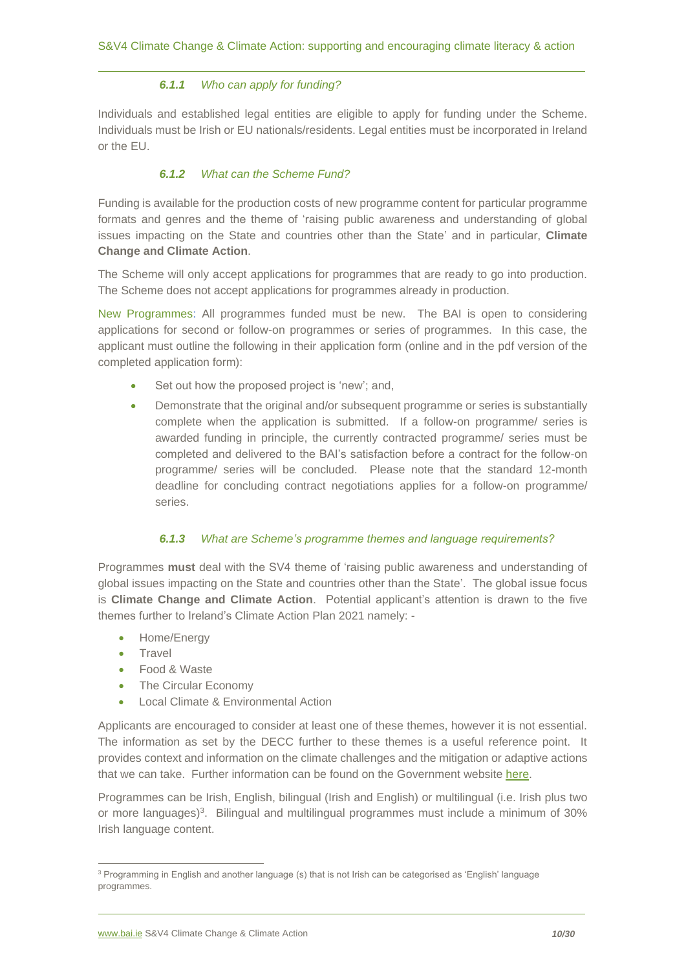# *6.1.1 Who can apply for funding?*

Individuals and established legal entities are eligible to apply for funding under the Scheme. Individuals must be Irish or EU nationals/residents. Legal entities must be incorporated in Ireland or the EU.

# *6.1.2 What can the Scheme Fund?*

Funding is available for the production costs of new programme content for particular programme formats and genres and the theme of 'raising public awareness and understanding of global issues impacting on the State and countries other than the State' and in particular, **Climate Change and Climate Action**.

The Scheme will only accept applications for programmes that are ready to go into production. The Scheme does not accept applications for programmes already in production.

New Programmes: All programmes funded must be new. The BAI is open to considering applications for second or follow-on programmes or series of programmes. In this case, the applicant must outline the following in their application form (online and in the pdf version of the completed application form):

- Set out how the proposed project is 'new'; and,
- Demonstrate that the original and/or subsequent programme or series is substantially complete when the application is submitted. If a follow-on programme/ series is awarded funding in principle, the currently contracted programme/ series must be completed and delivered to the BAI's satisfaction before a contract for the follow-on programme/ series will be concluded. Please note that the standard 12-month deadline for concluding contract negotiations applies for a follow-on programme/ series.

# *6.1.3 What are Scheme's programme themes and language requirements?*

Programmes **must** deal with the SV4 theme of 'raising public awareness and understanding of global issues impacting on the State and countries other than the State'. The global issue focus is **Climate Change and Climate Action**. Potential applicant's attention is drawn to the five themes further to Ireland's Climate Action Plan 2021 namely: -

- Home/Energy
- **Travel**
- Food & Waste
- The Circular Economy
- Local Climate & Environmental Action

Applicants are encouraged to consider at least one of these themes, however it is not essential. The information as set by the DECC further to these themes is a useful reference point. It provides context and information on the climate challenges and the mitigation or adaptive actions that we can take. Further information can be found on the Government website [here.](https://www.gov.ie/en/publication/6223e-climate-action-plan-2021/)

Programmes can be Irish, English, bilingual (Irish and English) or multilingual (i.e. Irish plus two or more languages)<sup>3</sup>. Bilingual and multilingual programmes must include a minimum of 30% Irish language content.

<sup>3</sup> Programming in English and another language (s) that is not Irish can be categorised as 'English' language programmes.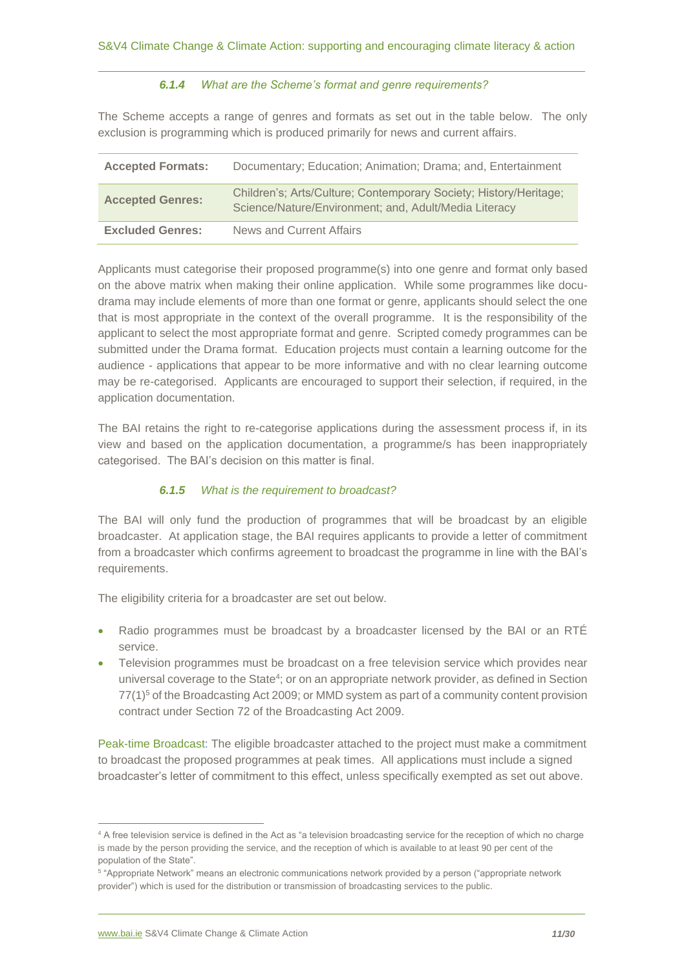#### *6.1.4 What are the Scheme's format and genre requirements?*

The Scheme accepts a range of genres and formats as set out in the table below. The only exclusion is programming which is produced primarily for news and current affairs.

| <b>Accepted Formats:</b> | Documentary; Education; Animation; Drama; and, Entertainment                                                               |
|--------------------------|----------------------------------------------------------------------------------------------------------------------------|
| <b>Accepted Genres:</b>  | Children's; Arts/Culture; Contemporary Society; History/Heritage;<br>Science/Nature/Environment; and, Adult/Media Literacy |
| <b>Excluded Genres:</b>  | News and Current Affairs                                                                                                   |

Applicants must categorise their proposed programme(s) into one genre and format only based on the above matrix when making their online application. While some programmes like docudrama may include elements of more than one format or genre, applicants should select the one that is most appropriate in the context of the overall programme. It is the responsibility of the applicant to select the most appropriate format and genre. Scripted comedy programmes can be submitted under the Drama format. Education projects must contain a learning outcome for the audience - applications that appear to be more informative and with no clear learning outcome may be re-categorised. Applicants are encouraged to support their selection, if required, in the application documentation.

The BAI retains the right to re-categorise applications during the assessment process if, in its view and based on the application documentation, a programme/s has been inappropriately categorised. The BAI's decision on this matter is final.

# *6.1.5 What is the requirement to broadcast?*

The BAI will only fund the production of programmes that will be broadcast by an eligible broadcaster. At application stage, the BAI requires applicants to provide a letter of commitment from a broadcaster which confirms agreement to broadcast the programme in line with the BAI's requirements.

The eligibility criteria for a broadcaster are set out below.

- Radio programmes must be broadcast by a broadcaster licensed by the BAI or an RTÉ service.
- Television programmes must be broadcast on a free television service which provides near universal coverage to the State<sup>4</sup>; or on an appropriate network provider, as defined in Section  $77(1)^5$  of the Broadcasting Act 2009; or MMD system as part of a community content provision contract under Section 72 of the Broadcasting Act 2009.

Peak-time Broadcast: The eligible broadcaster attached to the project must make a commitment to broadcast the proposed programmes at peak times. All applications must include a signed broadcaster's letter of commitment to this effect, unless specifically exempted as set out above.

<sup>4</sup> A free television service is defined in the Act as "a television broadcasting service for the reception of which no charge is made by the person providing the service, and the reception of which is available to at least 90 per cent of the population of the State".

<sup>5</sup> "Appropriate Network" means an electronic communications network provided by a person ("appropriate network provider") which is used for the distribution or transmission of broadcasting services to the public.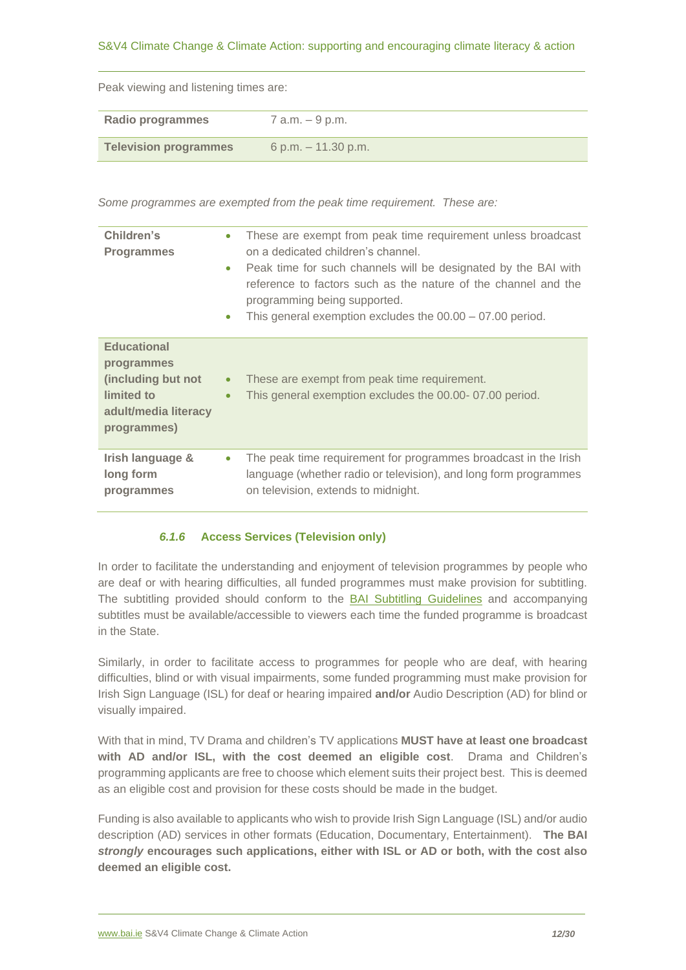# S&V4 Climate Change & Climate Action: supporting and encouraging climate literacy & action

Peak viewing and listening times are:

| Radio programmes             | 7 a.m. – 9 p.m.      |
|------------------------------|----------------------|
|                              |                      |
| <b>Television programmes</b> | 6 p.m. $-11.30$ p.m. |

*Some programmes are exempted from the peak time requirement. These are:* 

| Children's<br><b>Programmes</b>                                                                             | These are exempt from peak time requirement unless broadcast<br>$\bullet$<br>on a dedicated children's channel.<br>Peak time for such channels will be designated by the BAI with<br>$\bullet$<br>reference to factors such as the nature of the channel and the<br>programming being supported.<br>This general exemption excludes the $00.00 - 07.00$ period.<br>$\bullet$ |
|-------------------------------------------------------------------------------------------------------------|------------------------------------------------------------------------------------------------------------------------------------------------------------------------------------------------------------------------------------------------------------------------------------------------------------------------------------------------------------------------------|
| <b>Educational</b><br>programmes<br>(including but not<br>limited to<br>adult/media literacy<br>programmes) | These are exempt from peak time requirement.<br>$\bullet$<br>This general exemption excludes the 00.00-07.00 period.<br>$\bullet$                                                                                                                                                                                                                                            |
| Irish language &<br>long form<br>programmes                                                                 | The peak time requirement for programmes broadcast in the Irish<br>language (whether radio or television), and long form programmes<br>on television, extends to midnight.                                                                                                                                                                                                   |

# *6.1.6* **Access Services (Television only)**

In order to facilitate the understanding and enjoyment of television programmes by people who are deaf or with hearing difficulties, all funded programmes must make provision for subtitling. The subtitling provided should conform to the [BAI Subtitling](http://www.bai.ie/en/download/128530/) Guidelines and accompanying subtitles must be available/accessible to viewers each time the funded programme is broadcast in the State.

Similarly, in order to facilitate access to programmes for people who are deaf, with hearing difficulties, blind or with visual impairments, some funded programming must make provision for Irish Sign Language (ISL) for deaf or hearing impaired **and/or** Audio Description (AD) for blind or visually impaired.

With that in mind, TV Drama and children's TV applications **MUST have at least one broadcast with AD and/or ISL, with the cost deemed an eligible cost**. Drama and Children's programming applicants are free to choose which element suits their project best. This is deemed as an eligible cost and provision for these costs should be made in the budget.

Funding is also available to applicants who wish to provide Irish Sign Language (ISL) and/or audio description (AD) services in other formats (Education, Documentary, Entertainment). **The BAI**  *strongly* **encourages such applications, either with ISL or AD or both, with the cost also deemed an eligible cost.**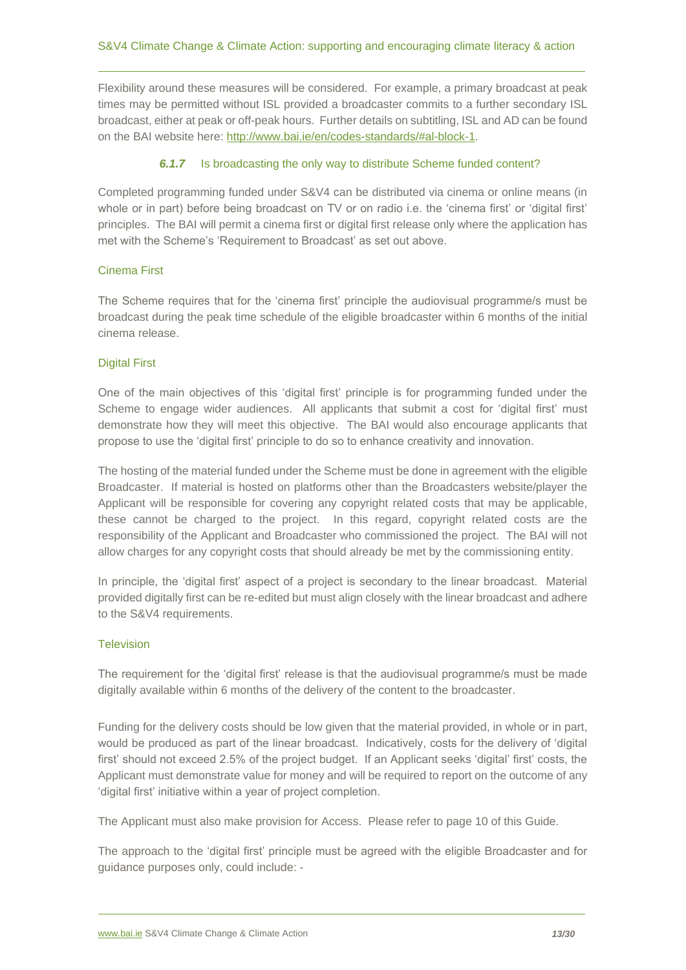Flexibility around these measures will be considered. For example, a primary broadcast at peak times may be permitted without ISL provided a broadcaster commits to a further secondary ISL broadcast, either at peak or off-peak hours. Further details on subtitling, ISL and AD can be found on the BAI website here: [http://www.bai.ie/en/codes-standards/#al-block-1.](http://www.bai.ie/en/codes-standards/#al-block-1)

# *6.1.7* Is broadcasting the only way to distribute Scheme funded content?

Completed programming funded under S&V4 can be distributed via cinema or online means (in whole or in part) before being broadcast on TV or on radio i.e. the 'cinema first' or 'digital first' principles. The BAI will permit a cinema first or digital first release only where the application has met with the Scheme's 'Requirement to Broadcast' as set out above.

# Cinema First

The Scheme requires that for the 'cinema first' principle the audiovisual programme/s must be broadcast during the peak time schedule of the eligible broadcaster within 6 months of the initial cinema release.

#### Digital First

One of the main objectives of this 'digital first' principle is for programming funded under the Scheme to engage wider audiences. All applicants that submit a cost for 'digital first' must demonstrate how they will meet this objective. The BAI would also encourage applicants that propose to use the 'digital first' principle to do so to enhance creativity and innovation.

The hosting of the material funded under the Scheme must be done in agreement with the eligible Broadcaster. If material is hosted on platforms other than the Broadcasters website/player the Applicant will be responsible for covering any copyright related costs that may be applicable, these cannot be charged to the project. In this regard, copyright related costs are the responsibility of the Applicant and Broadcaster who commissioned the project. The BAI will not allow charges for any copyright costs that should already be met by the commissioning entity.

In principle, the 'digital first' aspect of a project is secondary to the linear broadcast. Material provided digitally first can be re-edited but must align closely with the linear broadcast and adhere to the S&V4 requirements.

#### **Television**

The requirement for the 'digital first' release is that the audiovisual programme/s must be made digitally available within 6 months of the delivery of the content to the broadcaster.

Funding for the delivery costs should be low given that the material provided, in whole or in part, would be produced as part of the linear broadcast. Indicatively, costs for the delivery of 'digital first' should not exceed 2.5% of the project budget. If an Applicant seeks 'digital' first' costs, the Applicant must demonstrate value for money and will be required to report on the outcome of any 'digital first' initiative within a year of project completion.

The Applicant must also make provision for Access. Please refer to page 10 of this Guide.

The approach to the 'digital first' principle must be agreed with the eligible Broadcaster and for guidance purposes only, could include: -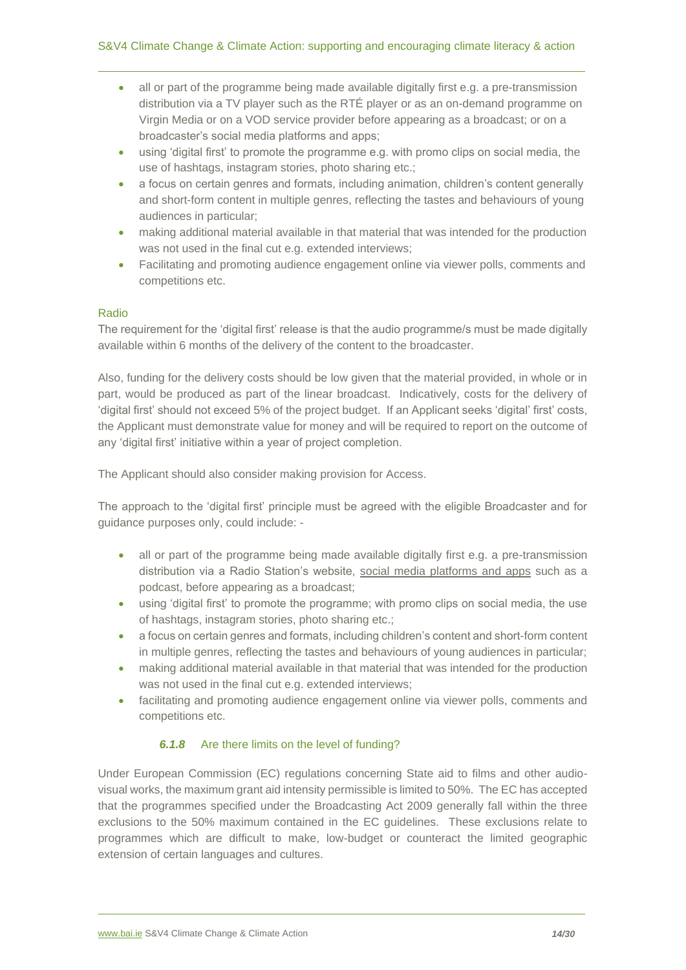- all or part of the programme being made available digitally first e.g. a pre-transmission distribution via a TV player such as the RTÉ player or as an on-demand programme on Virgin Media or on a VOD service provider before appearing as a broadcast; or on a broadcaster's social media platforms and apps;
- using 'digital first' to promote the programme e.g. with promo clips on social media, the use of hashtags, instagram stories, photo sharing etc.;
- a focus on certain genres and formats, including animation, children's content generally and short-form content in multiple genres, reflecting the tastes and behaviours of young audiences in particular;
- making additional material available in that material that was intended for the production was not used in the final cut e.g. extended interviews;
- Facilitating and promoting audience engagement online via viewer polls, comments and competitions etc.

# Radio

The requirement for the 'digital first' release is that the audio programme/s must be made digitally available within 6 months of the delivery of the content to the broadcaster.

Also, funding for the delivery costs should be low given that the material provided, in whole or in part, would be produced as part of the linear broadcast. Indicatively, costs for the delivery of 'digital first' should not exceed 5% of the project budget. If an Applicant seeks 'digital' first' costs, the Applicant must demonstrate value for money and will be required to report on the outcome of any 'digital first' initiative within a year of project completion.

The Applicant should also consider making provision for Access.

The approach to the 'digital first' principle must be agreed with the eligible Broadcaster and for guidance purposes only, could include: -

- all or part of the programme being made available digitally first e.g. a pre-transmission distribution via a Radio Station's website, social media platforms and apps such as a podcast, before appearing as a broadcast;
- using 'digital first' to promote the programme; with promo clips on social media, the use of hashtags, instagram stories, photo sharing etc.;
- a focus on certain genres and formats, including children's content and short-form content in multiple genres, reflecting the tastes and behaviours of young audiences in particular;
- making additional material available in that material that was intended for the production was not used in the final cut e.g. extended interviews;
- facilitating and promoting audience engagement online via viewer polls, comments and competitions etc.

# *6.1.8* Are there limits on the level of funding?

Under European Commission (EC) regulations concerning State aid to films and other audiovisual works, the maximum grant aid intensity permissible is limited to 50%. The EC has accepted that the programmes specified under the Broadcasting Act 2009 generally fall within the three exclusions to the 50% maximum contained in the EC guidelines. These exclusions relate to programmes which are difficult to make, low-budget or counteract the limited geographic extension of certain languages and cultures.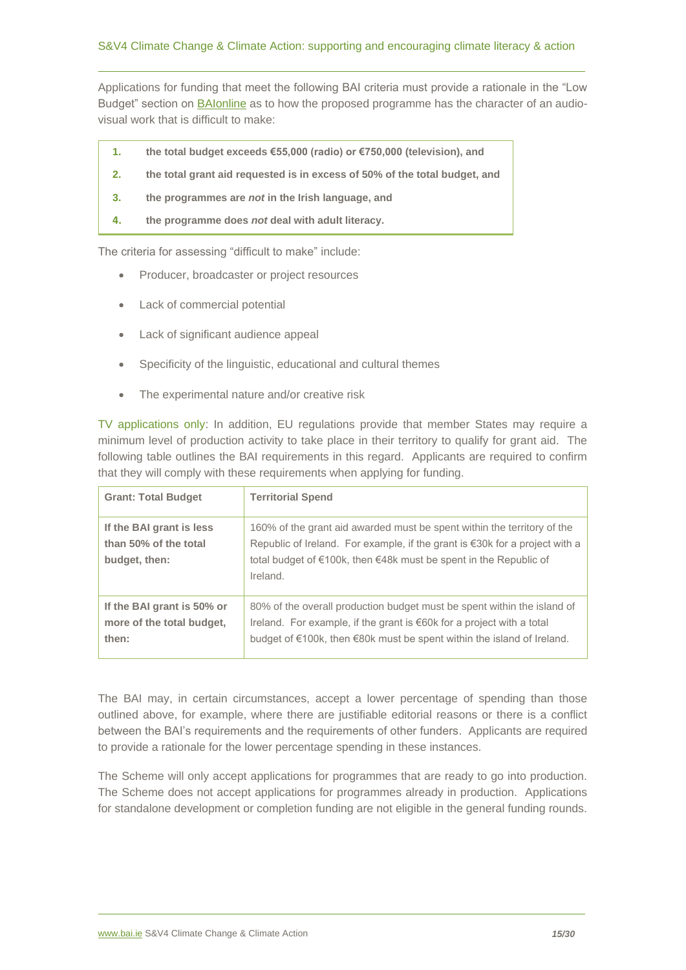Applications for funding that meet the following BAI criteria must provide a rationale in the "Low Budget" section on [BAIonline](http://www.baionline.ie/) as to how the proposed programme has the character of an audiovisual work that is difficult to make:

- **1. the total budget exceeds €55,000 (radio) or €750,000 (television), and**
- **2. the total grant aid requested is in excess of 50% of the total budget, and**
- **3. the programmes are** *not* **in the Irish language, and**
- **4. the programme does** *not* **deal with adult literacy.**

The criteria for assessing "difficult to make" include:

- Producer, broadcaster or project resources
- Lack of commercial potential
- Lack of significant audience appeal
- Specificity of the linguistic, educational and cultural themes
- The experimental nature and/or creative risk

TV applications only: In addition, EU regulations provide that member States may require a minimum level of production activity to take place in their territory to qualify for grant aid. The following table outlines the BAI requirements in this regard. Applicants are required to confirm that they will comply with these requirements when applying for funding.

| <b>Grant: Total Budget</b>                                         | <b>Territorial Spend</b>                                                                                                                                                                                                                          |
|--------------------------------------------------------------------|---------------------------------------------------------------------------------------------------------------------------------------------------------------------------------------------------------------------------------------------------|
| If the BAI grant is less<br>than 50% of the total<br>budget, then: | 160% of the grant aid awarded must be spent within the territory of the<br>Republic of Ireland. For example, if the grant is $\epsilon$ 30k for a project with a<br>total budget of €100k, then €48k must be spent in the Republic of<br>Ireland. |
| If the BAI grant is 50% or<br>more of the total budget,<br>then:   | 80% of the overall production budget must be spent within the island of<br>Ireland. For example, if the grant is €60k for a project with a total<br>budget of €100k, then €80k must be spent within the island of Ireland.                        |

The BAI may, in certain circumstances, accept a lower percentage of spending than those outlined above, for example, where there are justifiable editorial reasons or there is a conflict between the BAI's requirements and the requirements of other funders. Applicants are required to provide a rationale for the lower percentage spending in these instances.

The Scheme will only accept applications for programmes that are ready to go into production. The Scheme does not accept applications for programmes already in production. Applications for standalone development or completion funding are not eligible in the general funding rounds.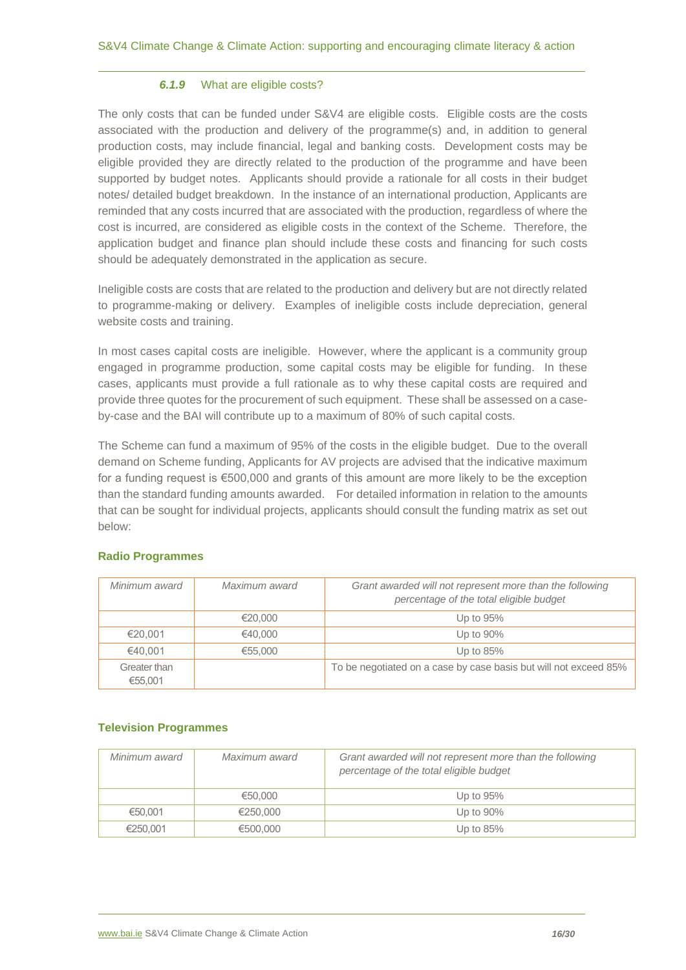# *6.1.9* What are eligible costs?

The only costs that can be funded under S&V4 are eligible costs. Eligible costs are the costs associated with the production and delivery of the programme(s) and, in addition to general production costs, may include financial, legal and banking costs. Development costs may be eligible provided they are directly related to the production of the programme and have been supported by budget notes. Applicants should provide a rationale for all costs in their budget notes/ detailed budget breakdown. In the instance of an international production, Applicants are reminded that any costs incurred that are associated with the production, regardless of where the cost is incurred, are considered as eligible costs in the context of the Scheme. Therefore, the application budget and finance plan should include these costs and financing for such costs should be adequately demonstrated in the application as secure.

Ineligible costs are costs that are related to the production and delivery but are not directly related to programme-making or delivery. Examples of ineligible costs include depreciation, general website costs and training.

In most cases capital costs are ineligible. However, where the applicant is a community group engaged in programme production, some capital costs may be eligible for funding. In these cases, applicants must provide a full rationale as to why these capital costs are required and provide three quotes for the procurement of such equipment. These shall be assessed on a caseby-case and the BAI will contribute up to a maximum of 80% of such capital costs.

The Scheme can fund a maximum of 95% of the costs in the eligible budget. Due to the overall demand on Scheme funding, Applicants for AV projects are advised that the indicative maximum for a funding request is €500,000 and grants of this amount are more likely to be the exception than the standard funding amounts awarded. For detailed information in relation to the amounts that can be sought for individual projects, applicants should consult the funding matrix as set out below:

# **Radio Programmes**

| Minimum award           | Maximum award | Grant awarded will not represent more than the following<br>percentage of the total eligible budget |
|-------------------------|---------------|-----------------------------------------------------------------------------------------------------|
|                         | €20,000       | Up to 95%                                                                                           |
| €20,001                 | €40,000       | Up to 90%                                                                                           |
| €40.001                 | €55,000       | Up to $85%$                                                                                         |
| Greater than<br>€55,001 |               | To be negotiated on a case by case basis but will not exceed 85%                                    |

#### **Television Programmes**

| Minimum award | Maximum award | Grant awarded will not represent more than the following<br>percentage of the total eligible budget |
|---------------|---------------|-----------------------------------------------------------------------------------------------------|
|               | €50.000       | Up to 95%                                                                                           |
| €50,001       | €250.000      | Up to 90%                                                                                           |
| €250.001      | €500,000      | Up to $85%$                                                                                         |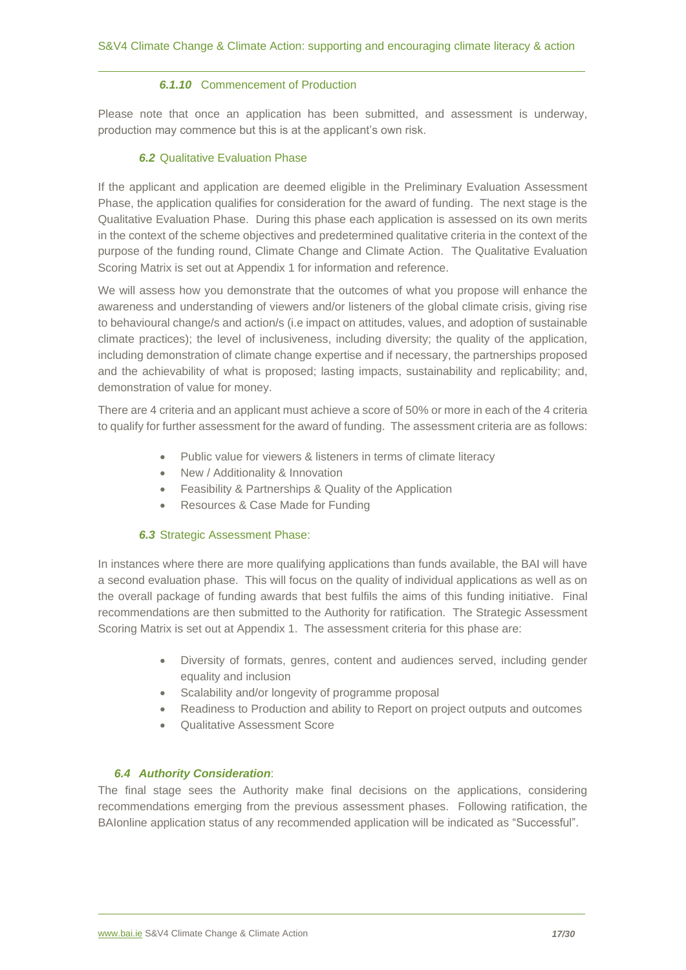# *6.1.10* Commencement of Production

Please note that once an application has been submitted, and assessment is underway, production may commence but this is at the applicant's own risk.

# *6.2* Qualitative Evaluation Phase

If the applicant and application are deemed eligible in the Preliminary Evaluation Assessment Phase, the application qualifies for consideration for the award of funding. The next stage is the Qualitative Evaluation Phase. During this phase each application is assessed on its own merits in the context of the scheme objectives and predetermined qualitative criteria in the context of the purpose of the funding round, Climate Change and Climate Action. The Qualitative Evaluation Scoring Matrix is set out at Appendix 1 for information and reference.

We will assess how you demonstrate that the outcomes of what you propose will enhance the awareness and understanding of viewers and/or listeners of the global climate crisis, giving rise to behavioural change/s and action/s (i.e impact on attitudes, values, and adoption of sustainable climate practices); the level of inclusiveness, including diversity; the quality of the application, including demonstration of climate change expertise and if necessary, the partnerships proposed and the achievability of what is proposed; lasting impacts, sustainability and replicability; and, demonstration of value for money.

There are 4 criteria and an applicant must achieve a score of 50% or more in each of the 4 criteria to qualify for further assessment for the award of funding. The assessment criteria are as follows:

- Public value for viewers & listeners in terms of climate literacy
- New / Additionality & Innovation
- Feasibility & Partnerships & Quality of the Application
- Resources & Case Made for Funding

# *6.3* Strategic Assessment Phase:

In instances where there are more qualifying applications than funds available, the BAI will have a second evaluation phase. This will focus on the quality of individual applications as well as on the overall package of funding awards that best fulfils the aims of this funding initiative. Final recommendations are then submitted to the Authority for ratification. The Strategic Assessment Scoring Matrix is set out at Appendix 1. The assessment criteria for this phase are:

- Diversity of formats, genres, content and audiences served, including gender equality and inclusion
- Scalability and/or longevity of programme proposal
- Readiness to Production and ability to Report on project outputs and outcomes
- Qualitative Assessment Score

#### *6.4 Authority Consideration*:

The final stage sees the Authority make final decisions on the applications, considering recommendations emerging from the previous assessment phases. Following ratification, the BAIonline application status of any recommended application will be indicated as "Successful".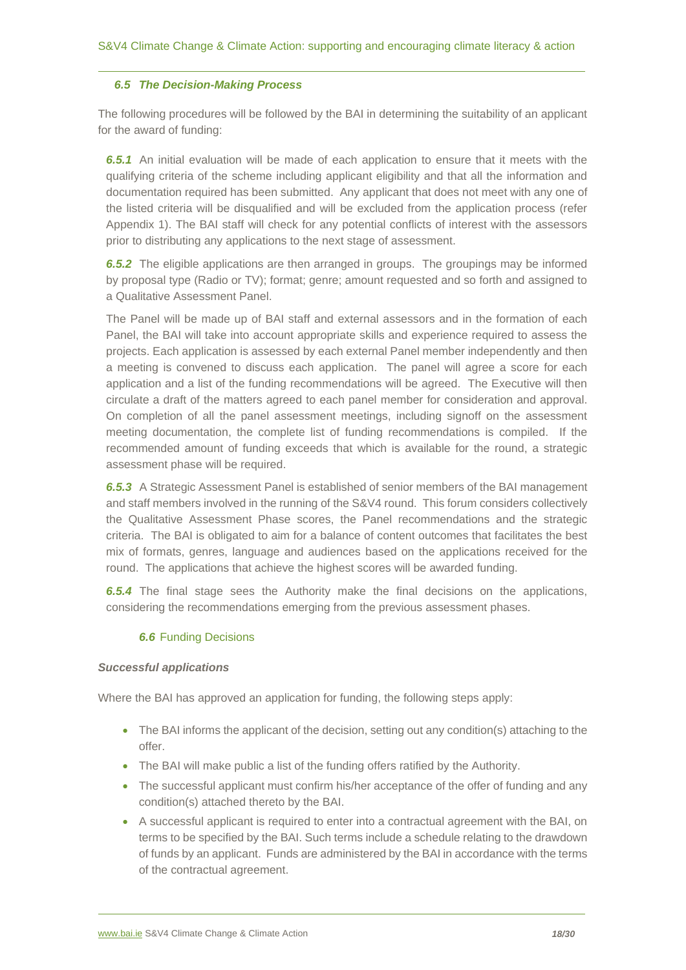#### *6.5 The Decision-Making Process*

The following procedures will be followed by the BAI in determining the suitability of an applicant for the award of funding:

*6.5.1* An initial evaluation will be made of each application to ensure that it meets with the qualifying criteria of the scheme including applicant eligibility and that all the information and documentation required has been submitted. Any applicant that does not meet with any one of the listed criteria will be disqualified and will be excluded from the application process (refer Appendix 1). The BAI staff will check for any potential conflicts of interest with the assessors prior to distributing any applications to the next stage of assessment.

**6.5.2** The eligible applications are then arranged in groups. The groupings may be informed by proposal type (Radio or TV); format; genre; amount requested and so forth and assigned to a Qualitative Assessment Panel.

The Panel will be made up of BAI staff and external assessors and in the formation of each Panel, the BAI will take into account appropriate skills and experience required to assess the projects. Each application is assessed by each external Panel member independently and then a meeting is convened to discuss each application. The panel will agree a score for each application and a list of the funding recommendations will be agreed. The Executive will then circulate a draft of the matters agreed to each panel member for consideration and approval. On completion of all the panel assessment meetings, including signoff on the assessment meeting documentation, the complete list of funding recommendations is compiled. If the recommended amount of funding exceeds that which is available for the round, a strategic assessment phase will be required.

*6.5.3* A Strategic Assessment Panel is established of senior members of the BAI management and staff members involved in the running of the S&V4 round. This forum considers collectively the Qualitative Assessment Phase scores, the Panel recommendations and the strategic criteria. The BAI is obligated to aim for a balance of content outcomes that facilitates the best mix of formats, genres, language and audiences based on the applications received for the round. The applications that achieve the highest scores will be awarded funding.

*6.5.4* The final stage sees the Authority make the final decisions on the applications, considering the recommendations emerging from the previous assessment phases.

# *6.6* Funding Decisions

#### *Successful applications*

Where the BAI has approved an application for funding, the following steps apply:

- The BAI informs the applicant of the decision, setting out any condition(s) attaching to the offer.
- The BAI will make public a list of the funding offers ratified by the Authority.
- The successful applicant must confirm his/her acceptance of the offer of funding and any condition(s) attached thereto by the BAI.
- A successful applicant is required to enter into a contractual agreement with the BAI, on terms to be specified by the BAI. Such terms include a schedule relating to the drawdown of funds by an applicant. Funds are administered by the BAI in accordance with the terms of the contractual agreement.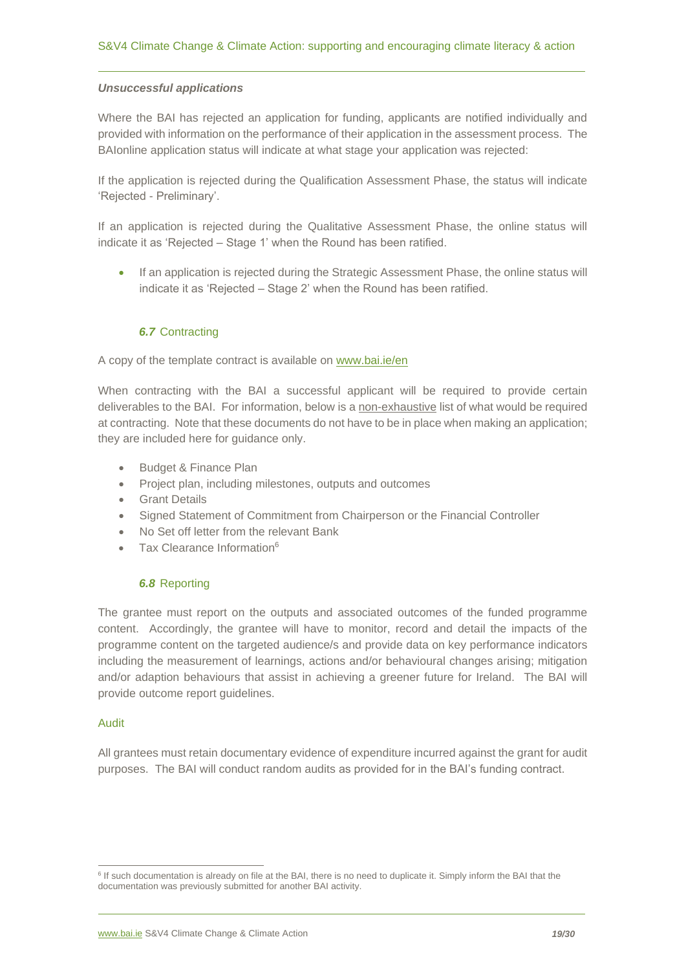#### *Unsuccessful applications*

Where the BAI has rejected an application for funding, applicants are notified individually and provided with information on the performance of their application in the assessment process. The BAIonline application status will indicate at what stage your application was rejected:

If the application is rejected during the Qualification Assessment Phase, the status will indicate 'Rejected - Preliminary'.

If an application is rejected during the Qualitative Assessment Phase, the online status will indicate it as 'Rejected – Stage 1' when the Round has been ratified.

• If an application is rejected during the Strategic Assessment Phase, the online status will indicate it as 'Rejected – Stage 2' when the Round has been ratified.

# *6.7* Contracting

#### A copy of the template contract is available on [www.bai.ie/en](http://www.bai.ie/en)

When contracting with the BAI a successful applicant will be required to provide certain deliverables to the BAI. For information, below is a non-exhaustive list of what would be required at contracting. Note that these documents do not have to be in place when making an application; they are included here for guidance only.

- Budget & Finance Plan
- Project plan, including milestones, outputs and outcomes
- Grant Details
- Signed Statement of Commitment from Chairperson or the Financial Controller
- No Set off letter from the relevant Bank
- Tax Clearance Information<sup>6</sup>

#### *6.8* Reporting

The grantee must report on the outputs and associated outcomes of the funded programme content. Accordingly, the grantee will have to monitor, record and detail the impacts of the programme content on the targeted audience/s and provide data on key performance indicators including the measurement of learnings, actions and/or behavioural changes arising; mitigation and/or adaption behaviours that assist in achieving a greener future for Ireland. The BAI will provide outcome report guidelines.

#### Audit

All grantees must retain documentary evidence of expenditure incurred against the grant for audit purposes. The BAI will conduct random audits as provided for in the BAI's funding contract.

<sup>&</sup>lt;sup>6</sup> If such documentation is already on file at the BAI, there is no need to duplicate it. Simply inform the BAI that the documentation was previously submitted for another BAI activity.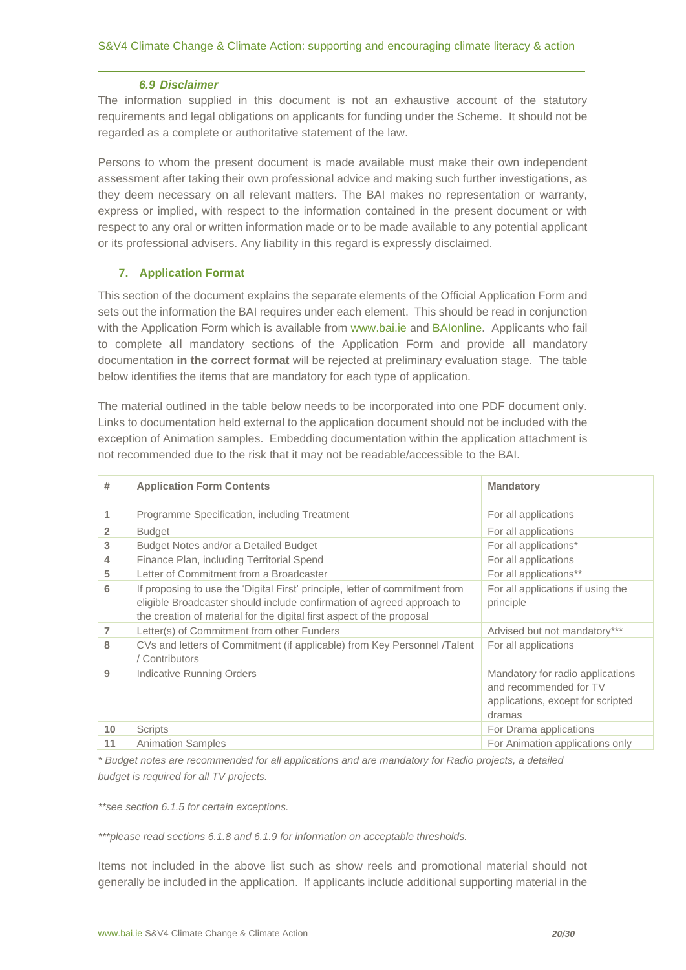#### *6.9 Disclaimer*

The information supplied in this document is not an exhaustive account of the statutory requirements and legal obligations on applicants for funding under the Scheme. It should not be regarded as a complete or authoritative statement of the law.

Persons to whom the present document is made available must make their own independent assessment after taking their own professional advice and making such further investigations, as they deem necessary on all relevant matters. The BAI makes no representation or warranty, express or implied, with respect to the information contained in the present document or with respect to any oral or written information made or to be made available to any potential applicant or its professional advisers. Any liability in this regard is expressly disclaimed.

# <span id="page-19-0"></span>**7. Application Format**

This section of the document explains the separate elements of the Official Application Form and sets out the information the BAI requires under each element. This should be read in conjunction with the Application Form which is available from [www.bai.ie](http://www.bai.ie/) and [BAIonline.](http://www.baionline.ie/) Applicants who fail to complete **all** mandatory sections of the Application Form and provide **all** mandatory documentation **in the correct format** will be rejected at preliminary evaluation stage. The table below identifies the items that are mandatory for each type of application.

The material outlined in the table below needs to be incorporated into one PDF document only. Links to documentation held external to the application document should not be included with the exception of Animation samples. Embedding documentation within the application attachment is not recommended due to the risk that it may not be readable/accessible to the BAI.

| #               | <b>Application Form Contents</b>                                                                                                                                                                                                | <b>Mandatory</b>                                                                                          |
|-----------------|---------------------------------------------------------------------------------------------------------------------------------------------------------------------------------------------------------------------------------|-----------------------------------------------------------------------------------------------------------|
| 1               | Programme Specification, including Treatment                                                                                                                                                                                    | For all applications                                                                                      |
| $\overline{2}$  | <b>Budget</b>                                                                                                                                                                                                                   | For all applications                                                                                      |
| 3               | Budget Notes and/or a Detailed Budget                                                                                                                                                                                           | For all applications*                                                                                     |
| 4               | Finance Plan, including Territorial Spend                                                                                                                                                                                       | For all applications                                                                                      |
| 5               | Letter of Commitment from a Broadcaster                                                                                                                                                                                         | For all applications**                                                                                    |
| 6               | If proposing to use the 'Digital First' principle, letter of commitment from<br>eligible Broadcaster should include confirmation of agreed approach to<br>the creation of material for the digital first aspect of the proposal | For all applications if using the<br>principle                                                            |
| $\overline{7}$  | Letter(s) of Commitment from other Funders                                                                                                                                                                                      | Advised but not mandatory***                                                                              |
| 8               | CVs and letters of Commitment (if applicable) from Key Personnel /Talent<br>Contributors                                                                                                                                        | For all applications                                                                                      |
| 9               | <b>Indicative Running Orders</b>                                                                                                                                                                                                | Mandatory for radio applications<br>and recommended for TV<br>applications, except for scripted<br>dramas |
| 10 <sup>°</sup> | <b>Scripts</b>                                                                                                                                                                                                                  | For Drama applications                                                                                    |
| 11              | <b>Animation Samples</b>                                                                                                                                                                                                        | For Animation applications only                                                                           |

*\* Budget notes are recommended for all applications and are mandatory for Radio projects, a detailed budget is required for all TV projects.*

*\*\*see section 6.1.5 for certain exceptions.*

*\*\*\*please read sections 6.1.8 and 6.1.9 for information on acceptable thresholds.*

Items not included in the above list such as show reels and promotional material should not generally be included in the application. If applicants include additional supporting material in the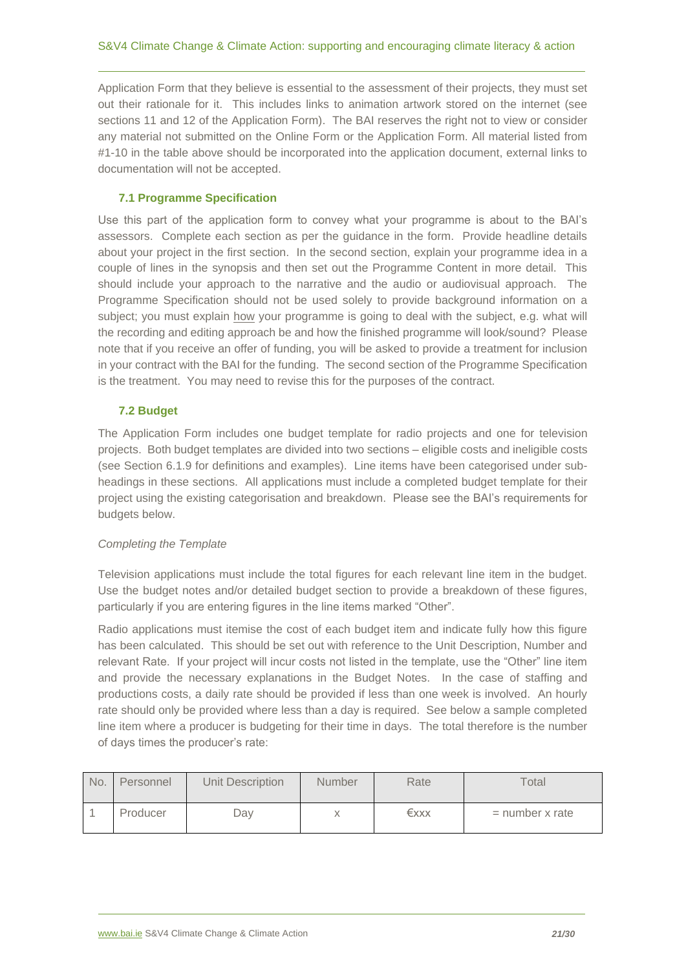Application Form that they believe is essential to the assessment of their projects, they must set out their rationale for it. This includes links to animation artwork stored on the internet (see sections 11 and 12 of the Application Form). The BAI reserves the right not to view or consider any material not submitted on the Online Form or the Application Form. All material listed from #1-10 in the table above should be incorporated into the application document, external links to documentation will not be accepted.

# <span id="page-20-0"></span>**7.1 Programme Specification**

Use this part of the application form to convey what your programme is about to the BAI's assessors. Complete each section as per the guidance in the form. Provide headline details about your project in the first section. In the second section, explain your programme idea in a couple of lines in the synopsis and then set out the Programme Content in more detail. This should include your approach to the narrative and the audio or audiovisual approach. The Programme Specification should not be used solely to provide background information on a subject; you must explain how your programme is going to deal with the subject, e.g. what will the recording and editing approach be and how the finished programme will look/sound? Please note that if you receive an offer of funding, you will be asked to provide a treatment for inclusion in your contract with the BAI for the funding. The second section of the Programme Specification is the treatment. You may need to revise this for the purposes of the contract.

# <span id="page-20-1"></span>**7.2 Budget**

The Application Form includes one budget template for radio projects and one for television projects. Both budget templates are divided into two sections – eligible costs and ineligible costs (see Section 6.1.9 for definitions and examples). Line items have been categorised under subheadings in these sections. All applications must include a completed budget template for their project using the existing categorisation and breakdown. Please see the BAI's requirements for budgets below.

# *Completing the Template*

Television applications must include the total figures for each relevant line item in the budget. Use the budget notes and/or detailed budget section to provide a breakdown of these figures, particularly if you are entering figures in the line items marked "Other".

Radio applications must itemise the cost of each budget item and indicate fully how this figure has been calculated. This should be set out with reference to the Unit Description, Number and relevant Rate. If your project will incur costs not listed in the template, use the "Other" line item and provide the necessary explanations in the Budget Notes. In the case of staffing and productions costs, a daily rate should be provided if less than one week is involved. An hourly rate should only be provided where less than a day is required. See below a sample completed line item where a producer is budgeting for their time in days. The total therefore is the number of days times the producer's rate:

| No. | Personnel | Unit Description | <b>Number</b> | Rate | Total             |
|-----|-----------|------------------|---------------|------|-------------------|
|     | Producer  | Dav              |               | €xxx | $=$ number x rate |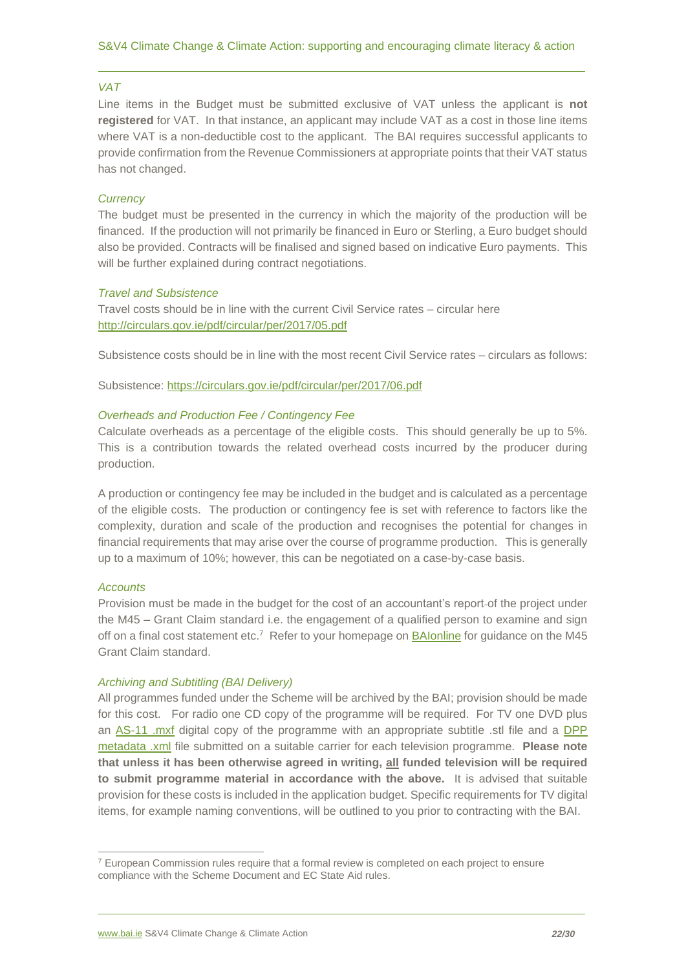#### *VAT*

Line items in the Budget must be submitted exclusive of VAT unless the applicant is **not registered** for VAT. In that instance, an applicant may include VAT as a cost in those line items where VAT is a non-deductible cost to the applicant. The BAI requires successful applicants to provide confirmation from the Revenue Commissioners at appropriate points that their VAT status has not changed.

# *Currency*

The budget must be presented in the currency in which the majority of the production will be financed. If the production will not primarily be financed in Euro or Sterling, a Euro budget should also be provided. Contracts will be finalised and signed based on indicative Euro payments. This will be further explained during contract negotiations.

#### *Travel and Subsistence*

Travel costs should be in line with the current Civil Service rates – circular here <http://circulars.gov.ie/pdf/circular/per/2017/05.pdf>

Subsistence costs should be in line with the most recent Civil Service rates – circulars as follows:

Subsistence:<https://circulars.gov.ie/pdf/circular/per/2017/06.pdf>

# *Overheads and Production Fee / Contingency Fee*

Calculate overheads as a percentage of the eligible costs. This should generally be up to 5%. This is a contribution towards the related overhead costs incurred by the producer during production.

A production or contingency fee may be included in the budget and is calculated as a percentage of the eligible costs. The production or contingency fee is set with reference to factors like the complexity, duration and scale of the production and recognises the potential for changes in financial requirements that may arise over the course of programme production. This is generally up to a maximum of 10%; however, this can be negotiated on a case-by-case basis.

#### *Accounts*

Provision must be made in the budget for the cost of an accountant's report of the project under the M45 – Grant Claim standard i.e. the engagement of a qualified person to examine and sign off on a final cost statement etc.<sup>7</sup> Refer to your homepage on **BAIonline** for guidance on the M45 Grant Claim standard.

#### *Archiving and Subtitling (BAI Delivery)*

All programmes funded under the Scheme will be archived by the BAI; provision should be made for this cost. For radio one CD copy of the programme will be required. For TV one DVD plus an [AS-11 .mxf](https://amwa.tv/projects/AS-11.shtml) digital copy of the programme with an appropriate subtitle .stl file and a [DPP](http://dpp-assets.s3.amazonaws.com/wp-content/uploads/2014/05/DPP-Metadata-Application-Information-Definitions-v1.0-Published.pdf)  [metadata .xml](http://dpp-assets.s3.amazonaws.com/wp-content/uploads/2014/05/DPP-Metadata-Application-Information-Definitions-v1.0-Published.pdf) file submitted on a suitable carrier for each television programme. **Please note that unless it has been otherwise agreed in writing, all funded television will be required to submit programme material in accordance with the above.** It is advised that suitable provision for these costs is included in the application budget. Specific requirements for TV digital items, for example naming conventions, will be outlined to you prior to contracting with the BAI.

 $7$  European Commission rules require that a formal review is completed on each project to ensure compliance with the Scheme Document and EC State Aid rules.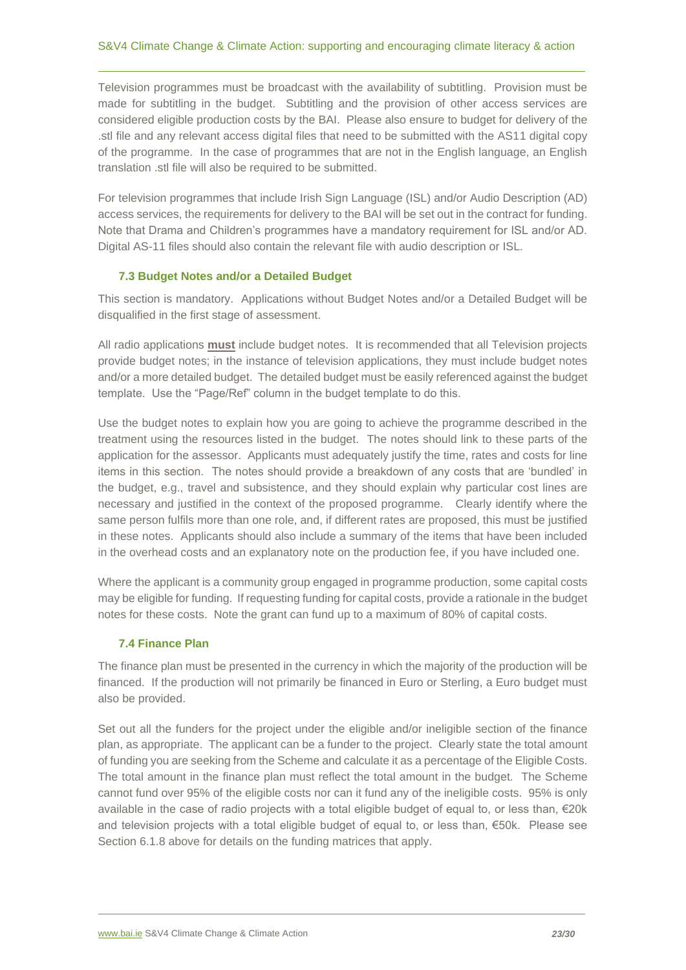Television programmes must be broadcast with the availability of subtitling. Provision must be made for subtitling in the budget. Subtitling and the provision of other access services are considered eligible production costs by the BAI. Please also ensure to budget for delivery of the .stl file and any relevant access digital files that need to be submitted with the AS11 digital copy of the programme. In the case of programmes that are not in the English language, an English translation .stl file will also be required to be submitted.

For television programmes that include Irish Sign Language (ISL) and/or Audio Description (AD) access services, the requirements for delivery to the BAI will be set out in the contract for funding. Note that Drama and Children's programmes have a mandatory requirement for ISL and/or AD. Digital AS-11 files should also contain the relevant file with audio description or ISL.

# <span id="page-22-0"></span>**7.3 Budget Notes and/or a Detailed Budget**

This section is mandatory. Applications without Budget Notes and/or a Detailed Budget will be disqualified in the first stage of assessment.

All radio applications **must** include budget notes. It is recommended that all Television projects provide budget notes; in the instance of television applications, they must include budget notes and/or a more detailed budget. The detailed budget must be easily referenced against the budget template. Use the "Page/Ref" column in the budget template to do this.

Use the budget notes to explain how you are going to achieve the programme described in the treatment using the resources listed in the budget. The notes should link to these parts of the application for the assessor. Applicants must adequately justify the time, rates and costs for line items in this section. The notes should provide a breakdown of any costs that are 'bundled' in the budget, e.g., travel and subsistence, and they should explain why particular cost lines are necessary and justified in the context of the proposed programme. Clearly identify where the same person fulfils more than one role, and, if different rates are proposed, this must be justified in these notes. Applicants should also include a summary of the items that have been included in the overhead costs and an explanatory note on the production fee, if you have included one.

Where the applicant is a community group engaged in programme production, some capital costs may be eligible for funding. If requesting funding for capital costs, provide a rationale in the budget notes for these costs. Note the grant can fund up to a maximum of 80% of capital costs.

# <span id="page-22-1"></span>**7.4 Finance Plan**

The finance plan must be presented in the currency in which the majority of the production will be financed. If the production will not primarily be financed in Euro or Sterling, a Euro budget must also be provided.

Set out all the funders for the project under the eligible and/or ineligible section of the finance plan, as appropriate. The applicant can be a funder to the project. Clearly state the total amount of funding you are seeking from the Scheme and calculate it as a percentage of the Eligible Costs. The total amount in the finance plan must reflect the total amount in the budget. The Scheme cannot fund over 95% of the eligible costs nor can it fund any of the ineligible costs. 95% is only available in the case of radio projects with a total eligible budget of equal to, or less than, €20k and television projects with a total eligible budget of equal to, or less than, €50k. Please see Section 6.1.8 above for details on the funding matrices that apply.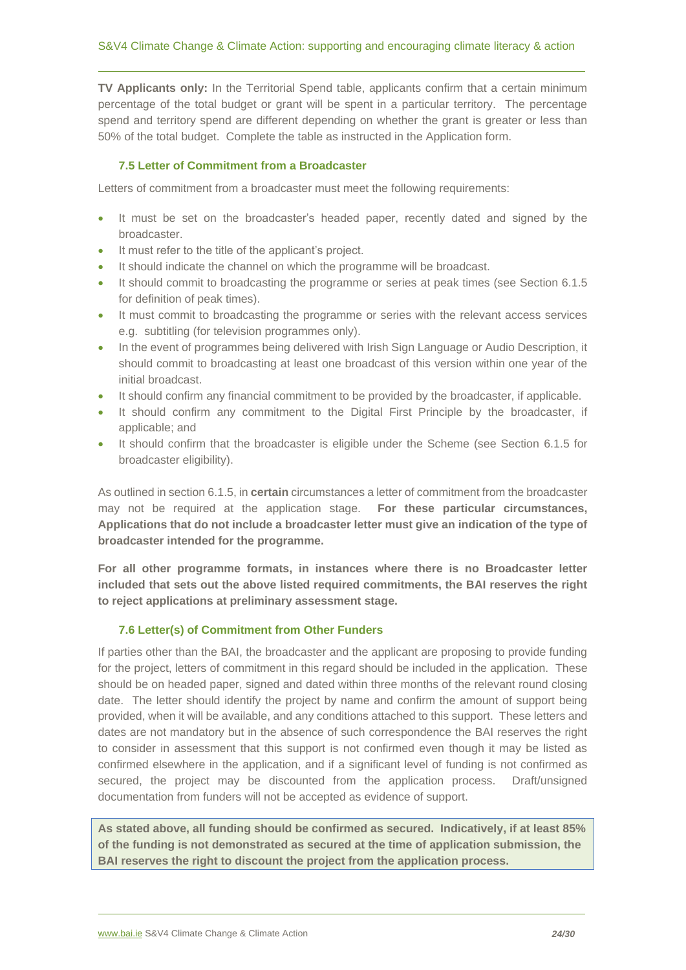**TV Applicants only:** In the Territorial Spend table, applicants confirm that a certain minimum percentage of the total budget or grant will be spent in a particular territory. The percentage spend and territory spend are different depending on whether the grant is greater or less than 50% of the total budget. Complete the table as instructed in the Application form.

#### <span id="page-23-0"></span>**7.5 Letter of Commitment from a Broadcaster**

Letters of commitment from a broadcaster must meet the following requirements:

- It must be set on the broadcaster's headed paper, recently dated and signed by the broadcaster.
- It must refer to the title of the applicant's project.
- It should indicate the channel on which the programme will be broadcast.
- It should commit to broadcasting the programme or series at peak times (see Section 6.1.5 for definition of peak times).
- It must commit to broadcasting the programme or series with the relevant access services e.g. subtitling (for television programmes only).
- In the event of programmes being delivered with Irish Sign Language or Audio Description, it should commit to broadcasting at least one broadcast of this version within one year of the initial broadcast.
- It should confirm any financial commitment to be provided by the broadcaster, if applicable.
- It should confirm any commitment to the Digital First Principle by the broadcaster, if applicable; and
- It should confirm that the broadcaster is eligible under the Scheme (see Section 6.1.5 for broadcaster eligibility).

As outlined in section 6.1.5, in **certain** circumstances a letter of commitment from the broadcaster may not be required at the application stage. **For these particular circumstances, Applications that do not include a broadcaster letter must give an indication of the type of broadcaster intended for the programme.**

**For all other programme formats, in instances where there is no Broadcaster letter included that sets out the above listed required commitments, the BAI reserves the right to reject applications at preliminary assessment stage.** 

#### **7.6 Letter(s) of Commitment from Other Funders**

<span id="page-23-1"></span>If parties other than the BAI, the broadcaster and the applicant are proposing to provide funding for the project, letters of commitment in this regard should be included in the application. These should be on headed paper, signed and dated within three months of the relevant round closing date. The letter should identify the project by name and confirm the amount of support being provided, when it will be available, and any conditions attached to this support. These letters and dates are not mandatory but in the absence of such correspondence the BAI reserves the right to consider in assessment that this support is not confirmed even though it may be listed as confirmed elsewhere in the application, and if a significant level of funding is not confirmed as secured, the project may be discounted from the application process. Draft/unsigned documentation from funders will not be accepted as evidence of support.

**As stated above, all funding should be confirmed as secured. Indicatively, if at least 85% of the funding is not demonstrated as secured at the time of application submission, the BAI reserves the right to discount the project from the application process.**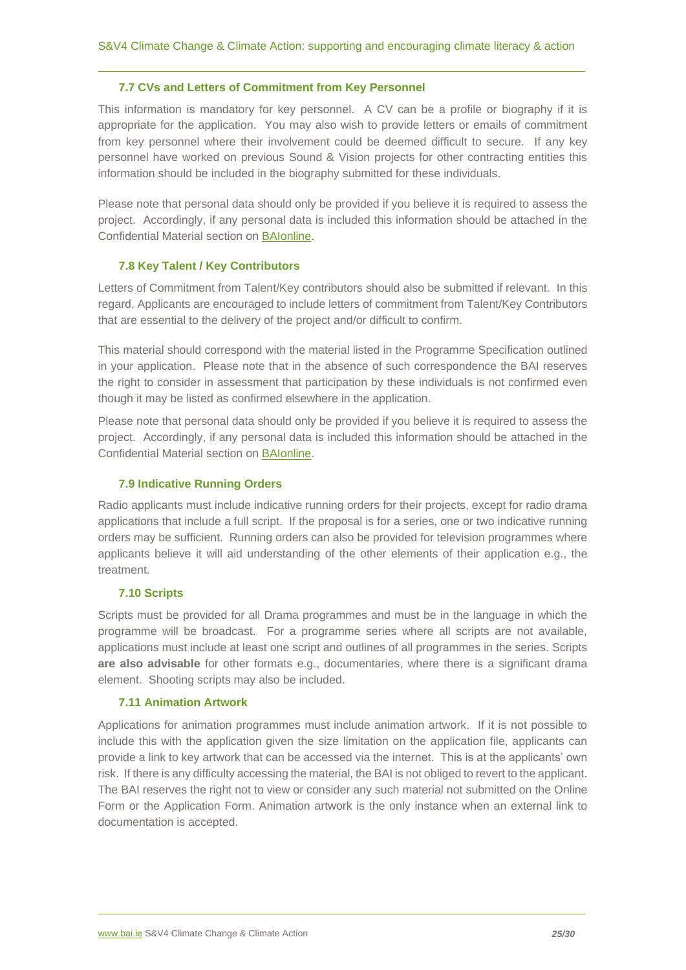#### **7.7 CVs and Letters of Commitment from Key Personnel**

<span id="page-24-0"></span>This information is mandatory for key personnel. A CV can be a profile or biography if it is appropriate for the application. You may also wish to provide letters or emails of commitment from key personnel where their involvement could be deemed difficult to secure. If any key personnel have worked on previous Sound & Vision projects for other contracting entities this information should be included in the biography submitted for these individuals.

Please note that personal data should only be provided if you believe it is required to assess the project. Accordingly, if any personal data is included this information should be attached in the Confidential Material section on [BAIonline.](http://baionline/)

# <span id="page-24-1"></span>**7.8 Key Talent / Key Contributors**

Letters of Commitment from Talent/Key contributors should also be submitted if relevant. In this regard, Applicants are encouraged to include letters of commitment from Talent/Key Contributors that are essential to the delivery of the project and/or difficult to confirm.

This material should correspond with the material listed in the Programme Specification outlined in your application. Please note that in the absence of such correspondence the BAI reserves the right to consider in assessment that participation by these individuals is not confirmed even though it may be listed as confirmed elsewhere in the application.

Please note that personal data should only be provided if you believe it is required to assess the project. Accordingly, if any personal data is included this information should be attached in the Confidential Material section on [BAIonline.](http://baionline/)

# <span id="page-24-2"></span>**7.9 Indicative Running Orders**

Radio applicants must include indicative running orders for their projects, except for radio drama applications that include a full script. If the proposal is for a series, one or two indicative running orders may be sufficient. Running orders can also be provided for television programmes where applicants believe it will aid understanding of the other elements of their application e.g., the treatment.

# <span id="page-24-3"></span>**7.10 Scripts**

Scripts must be provided for all Drama programmes and must be in the language in which the programme will be broadcast. For a programme series where all scripts are not available, applications must include at least one script and outlines of all programmes in the series. Scripts **are also advisable** for other formats e.g., documentaries, where there is a significant drama element. Shooting scripts may also be included.

#### <span id="page-24-4"></span>**7.11 Animation Artwork**

Applications for animation programmes must include animation artwork. If it is not possible to include this with the application given the size limitation on the application file, applicants can provide a link to key artwork that can be accessed via the internet. This is at the applicants' own risk. If there is any difficulty accessing the material, the BAI is not obliged to revert to the applicant. The BAI reserves the right not to view or consider any such material not submitted on the Online Form or the Application Form. Animation artwork is the only instance when an external link to documentation is accepted.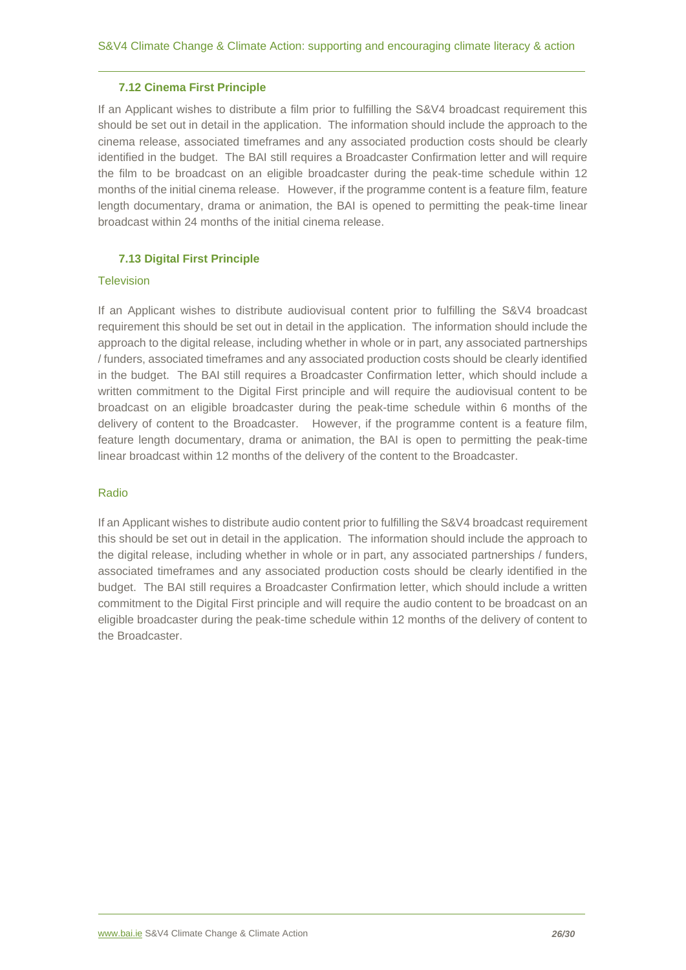#### **7.12 Cinema First Principle**

<span id="page-25-0"></span>If an Applicant wishes to distribute a film prior to fulfilling the S&V4 broadcast requirement this should be set out in detail in the application. The information should include the approach to the cinema release, associated timeframes and any associated production costs should be clearly identified in the budget. The BAI still requires a Broadcaster Confirmation letter and will require the film to be broadcast on an eligible broadcaster during the peak-time schedule within 12 months of the initial cinema release. However, if the programme content is a feature film, feature length documentary, drama or animation, the BAI is opened to permitting the peak-time linear broadcast within 24 months of the initial cinema release.

# <span id="page-25-1"></span>**7.13 Digital First Principle**

#### **Television**

If an Applicant wishes to distribute audiovisual content prior to fulfilling the S&V4 broadcast requirement this should be set out in detail in the application. The information should include the approach to the digital release, including whether in whole or in part, any associated partnerships / funders, associated timeframes and any associated production costs should be clearly identified in the budget. The BAI still requires a Broadcaster Confirmation letter, which should include a written commitment to the Digital First principle and will require the audiovisual content to be broadcast on an eligible broadcaster during the peak-time schedule within 6 months of the delivery of content to the Broadcaster. However, if the programme content is a feature film, feature length documentary, drama or animation, the BAI is open to permitting the peak-time linear broadcast within 12 months of the delivery of the content to the Broadcaster.

#### Radio

If an Applicant wishes to distribute audio content prior to fulfilling the S&V4 broadcast requirement this should be set out in detail in the application. The information should include the approach to the digital release, including whether in whole or in part, any associated partnerships / funders, associated timeframes and any associated production costs should be clearly identified in the budget. The BAI still requires a Broadcaster Confirmation letter, which should include a written commitment to the Digital First principle and will require the audio content to be broadcast on an eligible broadcaster during the peak-time schedule within 12 months of the delivery of content to the Broadcaster.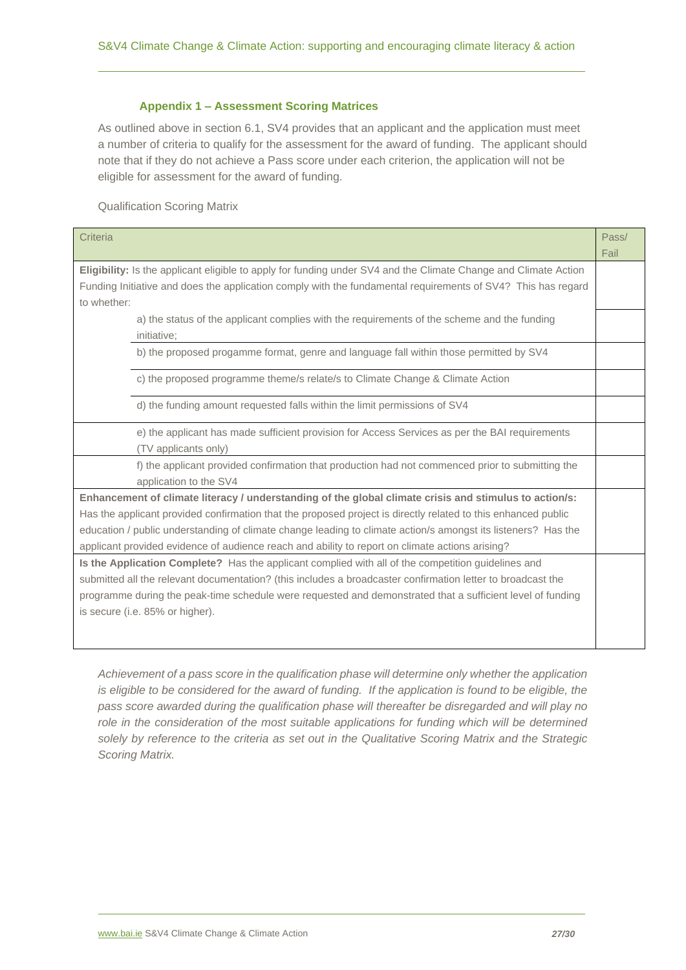# **Appendix 1 – Assessment Scoring Matrices**

<span id="page-26-0"></span>As outlined above in section 6.1, SV4 provides that an applicant and the application must meet a number of criteria to qualify for the assessment for the award of funding. The applicant should note that if they do not achieve a Pass score under each criterion, the application will not be eligible for assessment for the award of funding.

Qualification Scoring Matrix

| Criteria                                                                                                        | Pass/ |  |
|-----------------------------------------------------------------------------------------------------------------|-------|--|
|                                                                                                                 | Fail  |  |
| Eligibility: Is the applicant eligible to apply for funding under SV4 and the Climate Change and Climate Action |       |  |
| Funding Initiative and does the application comply with the fundamental requirements of SV4? This has regard    |       |  |
| to whether:                                                                                                     |       |  |
| a) the status of the applicant complies with the requirements of the scheme and the funding                     |       |  |
| initiative;                                                                                                     |       |  |
| b) the proposed progamme format, genre and language fall within those permitted by SV4                          |       |  |
| c) the proposed programme theme/s relate/s to Climate Change & Climate Action                                   |       |  |
| d) the funding amount requested falls within the limit permissions of SV4                                       |       |  |
| e) the applicant has made sufficient provision for Access Services as per the BAI requirements                  |       |  |
| (TV applicants only)                                                                                            |       |  |
| f) the applicant provided confirmation that production had not commenced prior to submitting the                |       |  |
| application to the SV4                                                                                          |       |  |
| Enhancement of climate literacy / understanding of the global climate crisis and stimulus to action/s:          |       |  |
| Has the applicant provided confirmation that the proposed project is directly related to this enhanced public   |       |  |
| education / public understanding of climate change leading to climate action/s amongst its listeners? Has the   |       |  |
| applicant provided evidence of audience reach and ability to report on climate actions arising?                 |       |  |
| Is the Application Complete? Has the applicant complied with all of the competition guidelines and              |       |  |
| submitted all the relevant documentation? (this includes a broadcaster confirmation letter to broadcast the     |       |  |
| programme during the peak-time schedule were requested and demonstrated that a sufficient level of funding      |       |  |
| is secure (i.e. 85% or higher).                                                                                 |       |  |
|                                                                                                                 |       |  |
|                                                                                                                 |       |  |

*Achievement of a pass score in the qualification phase will determine only whether the application is eligible to be considered for the award of funding. If the application is found to be eligible, the pass score awarded during the qualification phase will thereafter be disregarded and will play no*  role in the consideration of the most suitable applications for funding which will be determined *solely by reference to the criteria as set out in the Qualitative Scoring Matrix and the Strategic Scoring Matrix.*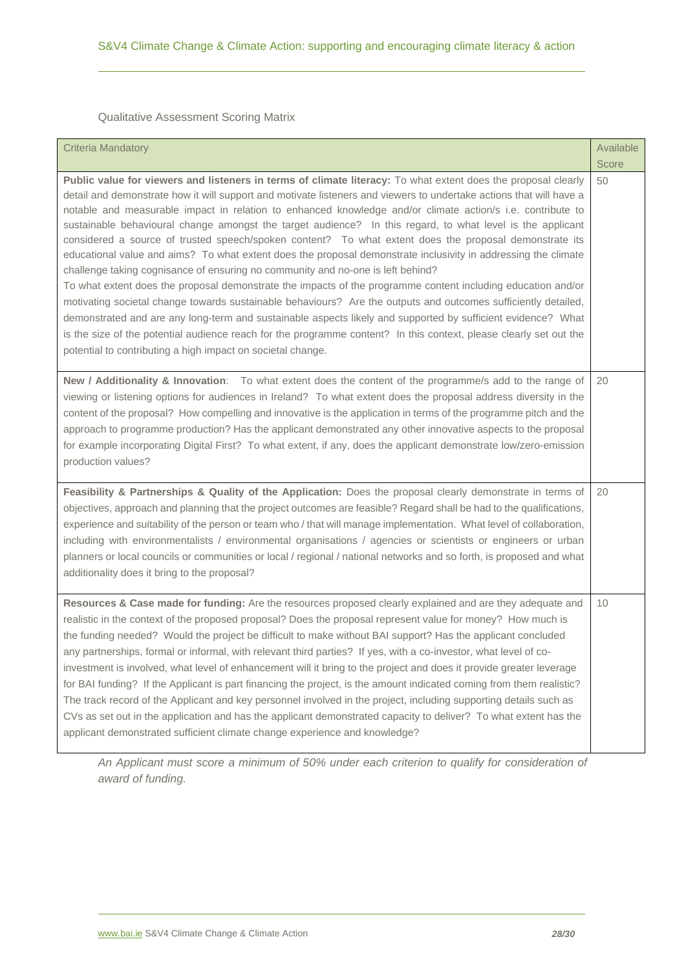Qualitative Assessment Scoring Matrix

| <b>Criteria Mandatory</b>                                                                                                                                                                                                                                                                                                                                                                                                                                                                                                                                                                                                                                                                                                                                                                                                                                                                                                                                                                                                                                                                                                                                                                                                                                                                                              | Available |
|------------------------------------------------------------------------------------------------------------------------------------------------------------------------------------------------------------------------------------------------------------------------------------------------------------------------------------------------------------------------------------------------------------------------------------------------------------------------------------------------------------------------------------------------------------------------------------------------------------------------------------------------------------------------------------------------------------------------------------------------------------------------------------------------------------------------------------------------------------------------------------------------------------------------------------------------------------------------------------------------------------------------------------------------------------------------------------------------------------------------------------------------------------------------------------------------------------------------------------------------------------------------------------------------------------------------|-----------|
|                                                                                                                                                                                                                                                                                                                                                                                                                                                                                                                                                                                                                                                                                                                                                                                                                                                                                                                                                                                                                                                                                                                                                                                                                                                                                                                        | Score     |
| Public value for viewers and listeners in terms of climate literacy: To what extent does the proposal clearly<br>detail and demonstrate how it will support and motivate listeners and viewers to undertake actions that will have a<br>notable and measurable impact in relation to enhanced knowledge and/or climate action/s i.e. contribute to<br>sustainable behavioural change amongst the target audience? In this regard, to what level is the applicant<br>considered a source of trusted speech/spoken content? To what extent does the proposal demonstrate its<br>educational value and aims? To what extent does the proposal demonstrate inclusivity in addressing the climate<br>challenge taking cognisance of ensuring no community and no-one is left behind?<br>To what extent does the proposal demonstrate the impacts of the programme content including education and/or<br>motivating societal change towards sustainable behaviours? Are the outputs and outcomes sufficiently detailed,<br>demonstrated and are any long-term and sustainable aspects likely and supported by sufficient evidence? What<br>is the size of the potential audience reach for the programme content? In this context, please clearly set out the<br>potential to contributing a high impact on societal change. | 50        |
| New / Additionality & Innovation: To what extent does the content of the programme/s add to the range of<br>viewing or listening options for audiences in Ireland? To what extent does the proposal address diversity in the<br>content of the proposal? How compelling and innovative is the application in terms of the programme pitch and the<br>approach to programme production? Has the applicant demonstrated any other innovative aspects to the proposal<br>for example incorporating Digital First? To what extent, if any, does the applicant demonstrate low/zero-emission<br>production values?                                                                                                                                                                                                                                                                                                                                                                                                                                                                                                                                                                                                                                                                                                          | 20        |
| Feasibility & Partnerships & Quality of the Application: Does the proposal clearly demonstrate in terms of<br>objectives, approach and planning that the project outcomes are feasible? Regard shall be had to the qualifications,<br>experience and suitability of the person or team who / that will manage implementation. What level of collaboration,<br>including with environmentalists / environmental organisations / agencies or scientists or engineers or urban<br>planners or local councils or communities or local / regional / national networks and so forth, is proposed and what<br>additionality does it bring to the proposal?                                                                                                                                                                                                                                                                                                                                                                                                                                                                                                                                                                                                                                                                    | 20        |
| Resources & Case made for funding: Are the resources proposed clearly explained and are they adequate and<br>realistic in the context of the proposed proposal? Does the proposal represent value for money? How much is<br>the funding needed? Would the project be difficult to make without BAI support? Has the applicant concluded<br>any partnerships, formal or informal, with relevant third parties? If yes, with a co-investor, what level of co-<br>investment is involved, what level of enhancement will it bring to the project and does it provide greater leverage<br>for BAI funding? If the Applicant is part financing the project, is the amount indicated coming from them realistic?<br>The track record of the Applicant and key personnel involved in the project, including supporting details such as<br>CVs as set out in the application and has the applicant demonstrated capacity to deliver? To what extent has the<br>applicant demonstrated sufficient climate change experience and knowledge?                                                                                                                                                                                                                                                                                      | 10        |

*An Applicant must score a minimum of 50% under each criterion to qualify for consideration of award of funding.*